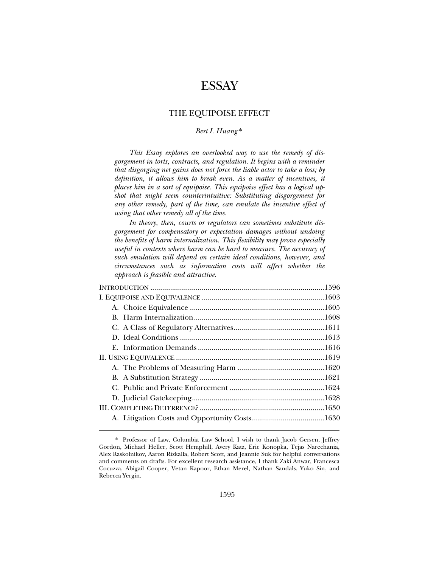# **ESSAY**

# THE EQUIPOISE EFFECT

# *Bert I. Huang* \*

*This Essay explores an overlooked way to use the remedy of disgorgement in torts, contracts, and regulation. It begins with a reminder that disgorging net gains does not force the liable actor to take a loss; by definition, it allows him to break even. As a matter of incentives, it places him in a sort of equipoise. This equipoise effect has a logical upshot that might seem counterintuitive: Substituting disgorgement for any other remedy, part of the time, can emulate the incentive effect of using that other remedy all of the time.* 

*In theory, then, courts or regulators can sometimes substitute disgorgement for compensatory or expectation damages without undoing the benefits of harm internalization. This flexibility may prove especially useful in contexts where harm can be hard to measure. The accuracy of such emulation will depend on certain ideal conditions, however, and circumstances such as information costs will affect whether the approach is feasible and attractive.*

 <sup>\*.</sup> Professor of Law, Columbia Law School. I wish to thank Jacob Gersen, Jeffrey Gordon, Michael Heller, Scott Hemphill, Avery Katz, Eric Konopka, Tejas Narechania, Alex Raskolnikov, Aaron Rizkalla, Robert Scott, and Jeannie Suk for helpful conversations and comments on drafts. For excellent research assistance, I thank Zaki Anwar, Francesca Cocuzza, Abigail Cooper, Vetan Kapoor, Ethan Merel, Nathan Sandals, Yuko Sin, and Rebecca Yergin.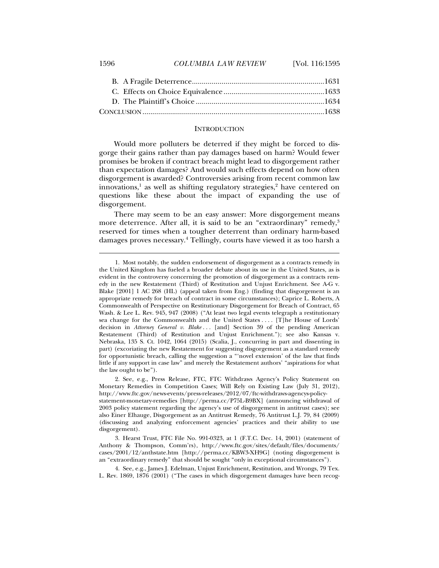# 1596 *COLUMBIA LAW REVIEW* [Vol. 116:1595

### **INTRODUCTION**

Would more polluters be deterred if they might be forced to disgorge their gains rather than pay damages based on harm? Would fewer promises be broken if contract breach might lead to disgorgement rather than expectation damages? And would such effects depend on how often disgorgement is awarded? Controversies arising from recent common law innovations,<sup>1</sup> as well as shifting regulatory strategies,<sup>2</sup> have centered on questions like these about the impact of expanding the use of disgorgement.

There may seem to be an easy answer: More disgorgement means more deterrence. After all, it is said to be an "extraordinary" remedy,<sup>3</sup> reserved for times when a tougher deterrent than ordinary harm-based damages proves necessary.4 Tellingly, courts have viewed it as too harsh a

 <sup>1.</sup> Most notably, the sudden endorsement of disgorgement as a contracts remedy in the United Kingdom has fueled a broader debate about its use in the United States, as is evident in the controversy concerning the promotion of disgorgement as a contracts remedy in the new Restatement (Third) of Restitution and Unjust Enrichment. See A-G v. Blake [2001] 1 AC 268 (HL) (appeal taken from Eng.) (finding that disgorgement is an appropriate remedy for breach of contract in some circumstances); Caprice L. Roberts, A Commonwealth of Perspective on Restitutionary Disgorgement for Breach of Contract, 65 Wash. & Lee L. Rev. 945, 947 (2008) ("At least two legal events telegraph a restitutionary sea change for the Commonwealth and the United States . . . . [T]he House of Lords' decision in *Attorney General v. Blake* ... [and] Section 39 of the pending American Restatement (Third) of Restitution and Unjust Enrichment."); see also Kansas v. Nebraska, 135 S. Ct. 1042, 1064 (2015) (Scalia, J., concurring in part and dissenting in part) (excoriating the new Restatement for suggesting disgorgement as a standard remedy for opportunistic breach, calling the suggestion a "'novel extension' of the law that finds little if any support in case law" and merely the Restatement authors' "aspirations for what the law ought to be").

 <sup>2.</sup> See, e.g., Press Release, FTC, FTC Withdraws Agency's Policy Statement on Monetary Remedies in Competition Cases; Will Rely on Existing Law (July 31, 2012), http://www.ftc.gov/news-events/press-releases/2012/07/ftc-withdraws-agencys-policystatement-monetary-remedies [http://perma.cc/P75L-B9BX] (announcing withdrawal of 2003 policy statement regarding the agency's use of disgorgement in antitrust cases); see also Einer Elhauge, Disgorgement as an Antitrust Remedy, 76 Antitrust L.J. 79, 84 (2009) (discussing and analyzing enforcement agencies' practices and their ability to use disgorgement).

 <sup>3.</sup> Hearst Trust, FTC File No. 991-0323, at 1 (F.T.C. Dec. 14, 2001) (statement of Anthony & Thompson, Comm'rs), http://www.ftc.gov/sites/default/files/documents/ cases/2001/12/anthstate.htm [http://perma.cc/KBW3-XH9G] (noting disgorgement is an "extraordinary remedy" that should be sought "only in exceptional circumstances").

 <sup>4.</sup> See, e.g., James J. Edelman, Unjust Enrichment, Restitution, and Wrongs, 79 Tex. L. Rev. 1869, 1876 (2001) ("The cases in which disgorgement damages have been recog-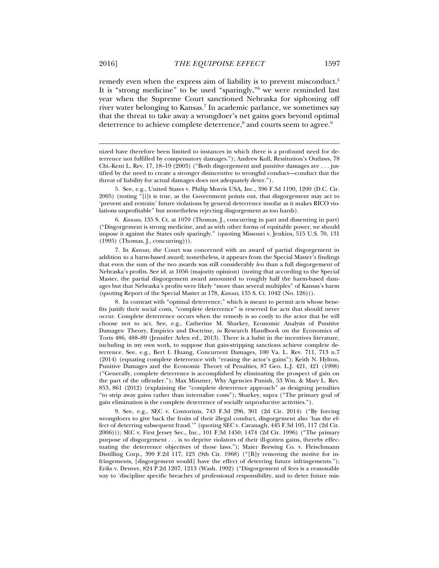remedy even when the express aim of liability is to prevent misconduct.<sup>5</sup> It is "strong medicine" to be used "sparingly,"6 we were reminded last year when the Supreme Court sanctioned Nebraska for siphoning off river water belonging to Kansas.7 In academic parlance, we sometimes say that the threat to take away a wrongdoer's net gains goes beyond optimal deterrence to achieve complete deterrence, $^{\rm 8}$  and courts seem to agree. $^{\rm 9}$ 

6. *Kansas*, 135 S. Ct. at 1070 (Thomas, J., concurring in part and dissenting in part) ("Disgorgement is strong medicine, and as with other forms of equitable power, we should impose it against the States only sparingly." (quoting Missouri v. Jenkins, 515 U.S. 70, 131 (1995) (Thomas, J., concurring))).

 7. In *Kansas*, the Court was concerned with an award of partial disgorgement in addition to a harm-based award; nonetheless, it appears from the Special Master's findings that even the sum of the two awards was still considerably *less* than a full disgorgement of Nebraska's profits. See id. at 1056 (majority opinion) (noting that according to the Special Master, the partial disgorgement award amounted to roughly half the harm-based damages but that Nebraska's profits were likely "more than several multiples" of Kansas's harm (quoting Report of the Special Master at 178, *Kansas*, 135 S. Ct. 1042 (No. 126))).

 8. In contrast with "optimal deterrence," which is meant to permit acts whose benefits justify their social costs, "complete deterrence" is reserved for acts that should never occur. Complete deterrence occurs when the remedy is so costly to the actor that he will choose not to act. See, e.g., Catherine M. Sharkey, Economic Analysis of Punitive Damages: Theory, Empirics and Doctrine, *in* Research Handbook on the Economics of Torts 486, 488–89 (Jennifer Arlen ed., 2013). There is a habit in the incentives literature, including in my own work, to suppose that gain-stripping sanctions achieve complete deterrence. See, e.g., Bert I. Huang, Concurrent Damages, 100 Va. L. Rev. 711, 713 n.7 (2014) (equating complete deterrence with "erasing the actor's gains"); Keith N. Hylton, Punitive Damages and the Economic Theory of Penalties, 87 Geo. L.J. 421, 421 (1998) ("Generally, complete deterrence is accomplished by eliminating the prospect of gain on the part of the offender."); Max Minzner, Why Agencies Punish, 53 Wm. & Mary L. Rev. 853, 861 (2012) (explaining the "complete deterrence approach" as designing penalties "to strip away gains rather than internalize costs"); Sharkey, supra ("The primary goal of gain elimination is the complete deterrence of socially unproductive activities.").

 9. See, e.g., SEC v. Contorinis, 743 F.3d 296, 301 (2d Cir. 2014) ("By forcing wrongdoers to give back the fruits of their illegal conduct, disgorgement also 'has the effect of deterring subsequent fraud.'" (quoting SEC v. Cavanagh, 445 F.3d 105, 117 (2d Cir. 2006))); SEC v. First Jersey Sec., Inc., 101 F.3d 1450, 1474 (2d Cir. 1996) ("The primary purpose of disgorgement . . . is to deprive violators of their ill-gotten gains, thereby effectuating the deterrence objectives of those laws."); Maier Brewing Co. v. Fleischmann Distilling Corp., 390 F.2d 117, 123 (9th Cir. 1968) ("[B]y removing the motive for infringements, [disgorgement would] have the effect of deterring future infringements."); Eriks v. Denver, 824 P.2d 1207, 1213 (Wash. 1992) ("Disgorgement of fees is a reasonable way to 'discipline specific breaches of professional responsibility, and to deter future mis-

nized have therefore been limited to instances in which there is a profound need for deterrence not fulfilled by compensatory damages."); Andrew Kull, Restitution's Outlaws, 78 Chi.-Kent L. Rev. 17, 18–19 (2003) ("Both disgorgement and punitive damages are . . . justified by the need to create a stronger disincentive to wrongful conduct—conduct that the threat of liability for actual damages does not adequately deter.").

 <sup>5.</sup> See, e.g., United States v. Philip Morris USA, Inc., 396 F.3d 1190, 1200 (D.C. Cir. 2005) (noting "[i]t is true, as the Government points out, that disgorgement may act to 'prevent and restrain' future violations by general deterrence insofar as it makes RICO violations unprofitable" but nonetheless rejecting disgorgement as too harsh).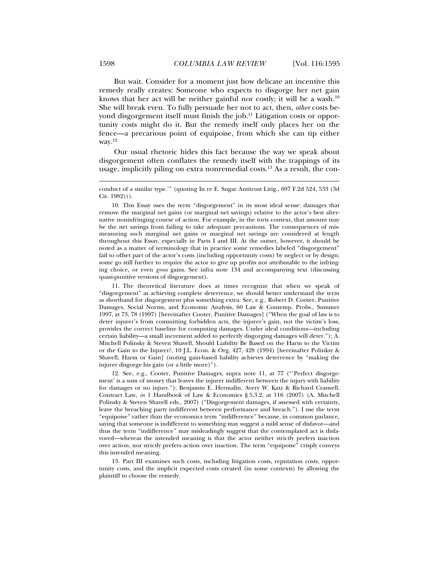But wait. Consider for a moment just how delicate an incentive this remedy really creates: Someone who expects to disgorge her net gain knows that her act will be neither gainful nor costly; it will be a wash.<sup>10</sup> She will break even. To fully persuade her not to act, then, *other* costs beyond disgorgement itself must finish the job.<sup>11</sup> Litigation costs or opportunity costs might do it. But the remedy itself only places her on the fence—a precarious point of equipoise, from which she can tip either way.12

Our usual rhetoric hides this fact because the way we speak about disgorgement often conflates the remedy itself with the trappings of its usage, implicitly piling on extra nonremedial costs.<sup>13</sup> As a result, the con-

 10. This Essay uses the term "disgorgement" in its most ideal sense: damages that remove the marginal net gains (or marginal net savings) relative to the actor's best alternative noninfringing course of action. For example, in the torts context, that amount may be the net savings from failing to take adequate precautions. The consequences of mismeasuring such marginal net gains or marginal net savings are considered at length throughout this Essay, especially in Parts I and III. At the outset, however, it should be noted as a matter of terminology that in practice some remedies labeled "disgorgement" fail to offset part of the actor's costs (including opportunity costs) by neglect or by design; some go still further to require the actor to give up profits not attributable to the infringing choice, or even *gross* gains. See infra note 134 and accompanying text (discussing quasi-punitive versions of disgorgement).

 11. The theoretical literature does at times recognize that when we speak of "disgorgement" as achieving complete deterrence, we should better understand the term as shorthand for disgorgement plus something extra. See, e.g., Robert D. Cooter, Punitive Damages, Social Norms, and Economic Analysis, 60 Law & Contemp. Probs., Summer 1997, at 73, 78 (1997) [hereinafter Cooter, Punitive Damages] ("When the goal of law is to deter injurer's from committing forbidden acts, the injurer's gain, not the victim's loss, provides the correct baseline for computing damages. Under ideal conditions—including certain liability—a small increment added to perfectly disgorging damages will deter."); A. Mitchell Polinsky & Steven Shavell, Should Liability Be Based on the Harm to the Victim or the Gain to the Injurer?, 10 J.L. Econ. & Org. 427, 428 (1994) [hereinafter Polinksy & Shavell, Harm or Gain] (noting gain-based liability achieves deterrence by "making the injurer disgorge his gain (or a little more)").

 12. See, e.g., Cooter, Punitive Damages, supra note 11, at 77 ("'Perfect disgorgement' is a sum of money that leaves the injurer indifferent between the injury with liability for damages or no injury."); Benjamin E. Hermalin, Avery W. Katz & Richard Craswell, Contract Law, *in* 1 Handbook of Law & Economics § 5.3.2, at 116 (2007) (A. Mitchell Polinsky & Steven Shavell eds., 2007) ("Disgorgement damages, if assessed with certainty, leave the breaching party indifferent between performance and breach."). I use the term "equipoise" rather than the economics term "indifference" because, in common parlance, saying that someone is indifferent to something may suggest a mild sense of disfavor—and thus the term "indifference" may misleadingly suggest that the contemplated act is disfavored—whereas the intended meaning is that the actor neither strictly prefers inaction over action, nor strictly prefers action over inaction. The term "equipoise" crisply conveys this intended meaning.

 13. Part III examines such costs, including litigation costs, reputation costs, opportunity costs, and the implicit expected costs created (in some contexts) by allowing the plaintiff to choose the remedy.

conduct of a similar type.'" (quoting In re E. Sugar Antitrust Litig., 697 F.2d 524, 533 (3d Cir. 1982))).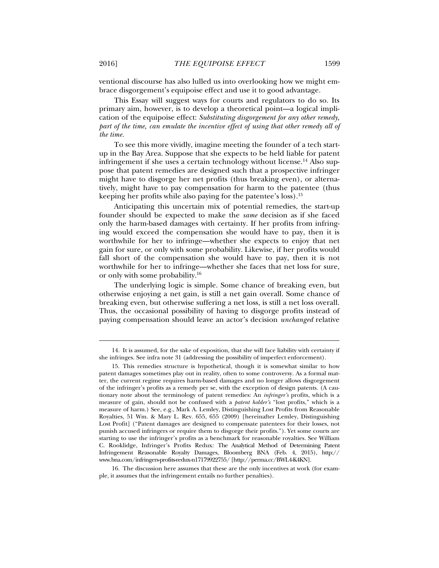ventional discourse has also lulled us into overlooking how we might embrace disgorgement's equipoise effect and use it to good advantage.

This Essay will suggest ways for courts and regulators to do so. Its primary aim, however, is to develop a theoretical point—a logical implication of the equipoise effect: *Substituting disgorgement for any other remedy, part of the time, can emulate the incentive effect of using that other remedy all of the time.* 

To see this more vividly, imagine meeting the founder of a tech startup in the Bay Area. Suppose that she expects to be held liable for patent infringement if she uses a certain technology without license.<sup>14</sup> Also suppose that patent remedies are designed such that a prospective infringer might have to disgorge her net profits (thus breaking even), or alternatively, might have to pay compensation for harm to the patentee (thus keeping her profits while also paying for the patentee's loss).15

Anticipating this uncertain mix of potential remedies, the start-up founder should be expected to make the *same* decision as if she faced only the harm-based damages with certainty. If her profits from infringing would exceed the compensation she would have to pay, then it is worthwhile for her to infringe—whether she expects to enjoy that net gain for sure, or only with some probability. Likewise, if her profits would fall short of the compensation she would have to pay, then it is not worthwhile for her to infringe—whether she faces that net loss for sure, or only with some probability.16

The underlying logic is simple. Some chance of breaking even, but otherwise enjoying a net gain, is still a net gain overall. Some chance of breaking even, but otherwise suffering a net loss, is still a net loss overall. Thus, the occasional possibility of having to disgorge profits instead of paying compensation should leave an actor's decision *unchanged* relative

 16. The discussion here assumes that these are the only incentives at work (for example, it assumes that the infringement entails no further penalties).

 <sup>14.</sup> It is assumed, for the sake of exposition, that she will face liability with certainty if she infringes. See infra note 31 (addressing the possibility of imperfect enforcement).

 <sup>15.</sup> This remedies structure is hypothetical, though it is somewhat similar to how patent damages sometimes play out in reality, often to some controversy. As a formal matter, the current regime requires harm-based damages and no longer allows disgorgement of the infringer's profits as a remedy per se, with the exception of design patents. (A cautionary note about the terminology of patent remedies: An *infringer's* profits, which is a measure of gain, should not be confused with a *patent holder's* "lost profits," which is a measure of harm.) See, e.g., Mark A. Lemley, Distinguishing Lost Profits from Reasonable Royalties, 51 Wm. & Mary L. Rev. 655, 655 (2009) [hereinafter Lemley, Distinguishing Lost Profit] ("Patent damages are designed to compensate patentees for their losses, not punish accused infringers or require them to disgorge their profits."). Yet some courts are starting to use the infringer's profits as a benchmark for reasonable royalties. See William C. Rooklidge, Infringer's Profits Redux: The Analytical Method of Determining Patent Infringement Reasonable Royalty Damages, Bloomberg BNA (Feb. 4, 2015), http:// www.bna.com/infringers-profits-redux-n17179922755/ [http://perma.cc/BWL4-K4KN].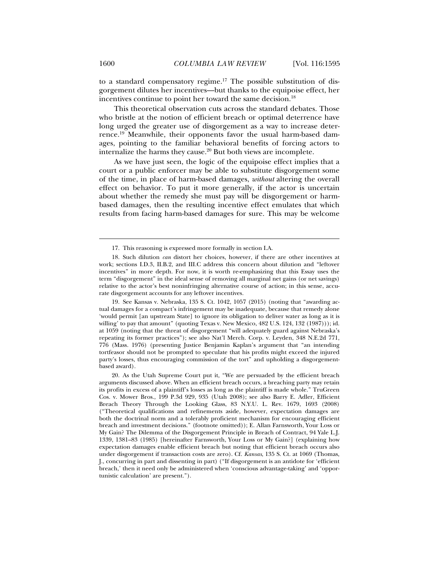to a standard compensatory regime.17 The possible substitution of disgorgement dilutes her incentives—but thanks to the equipoise effect, her incentives continue to point her toward the same decision.<sup>18</sup>

This theoretical observation cuts across the standard debates. Those who bristle at the notion of efficient breach or optimal deterrence have long urged the greater use of disgorgement as a way to increase deterrence.19 Meanwhile, their opponents favor the usual harm-based damages, pointing to the familiar behavioral benefits of forcing actors to internalize the harms they cause. $20$  But both views are incomplete.

As we have just seen, the logic of the equipoise effect implies that a court or a public enforcer may be able to substitute disgorgement some of the time, in place of harm-based damages, *without* altering the overall effect on behavior. To put it more generally, if the actor is uncertain about whether the remedy she must pay will be disgorgement or harmbased damages, then the resulting incentive effect emulates that which results from facing harm-based damages for sure. This may be welcome

 19. See Kansas v. Nebraska, 135 S. Ct. 1042, 1057 (2015) (noting that "awarding actual damages for a compact's infringement may be inadequate, because that remedy alone 'would permit [an upstream State] to ignore its obligation to deliver water as long as it is willing' to pay that amount" (quoting Texas v. New Mexico, 482 U.S. 124, 132 (1987))); id. at 1059 (noting that the threat of disgorgement "will adequately guard against Nebraska's repeating its former practices"); see also Nat'l Merch. Corp. v. Leyden, 348 N.E.2d 771, 776 (Mass. 1976) (presenting Justice Benjamin Kaplan's argument that "an intending tortfeasor should not be prompted to speculate that his profits might exceed the injured party's losses, thus encouraging commission of the tort" and upholding a disgorgementbased award).

 20. As the Utah Supreme Court put it, "We are persuaded by the efficient breach arguments discussed above. When an efficient breach occurs, a breaching party may retain its profits in excess of a plaintiff's losses as long as the plaintiff is made whole." TruGreen Cos. v. Mower Bros., 199 P.3d 929, 935 (Utah 2008); see also Barry E. Adler, Efficient Breach Theory Through the Looking Glass, 83 N.Y.U. L. Rev. 1679, 1693 (2008) ("Theoretical qualifications and refinements aside, however, expectation damages are both the doctrinal norm and a tolerably proficient mechanism for encouraging efficient breach and investment decisions." (footnote omitted)); E. Allan Farnsworth, Your Loss or My Gain? The Dilemma of the Disgorgement Principle in Breach of Contract, 94 Yale L.J. 1339, 1381–83 (1985) [hereinafter Farnsworth, Your Loss or My Gain?] (explaining how expectation damages enable efficient breach but noting that efficient breach occurs also under disgorgement if transaction costs are zero). Cf. *Kansas*, 135 S. Ct. at 1069 (Thomas, J., concurring in part and dissenting in part) ("If disgorgement is an antidote for 'efficient breach,' then it need only be administered when 'conscious advantage-taking' and 'opportunistic calculation' are present.").

 <sup>17.</sup> This reasoning is expressed more formally in section I.A.

 <sup>18.</sup> Such dilution *can* distort her choices, however, if there are other incentives at work; sections I.D.3, II.B.2, and III.C address this concern about dilution and "leftover incentives" in more depth. For now, it is worth re-emphasizing that this Essay uses the term "disgorgement" in the ideal sense of removing all marginal net gains (or net savings) relative to the actor's best noninfringing alternative course of action; in this sense, accurate disgorgement accounts for any leftover incentives.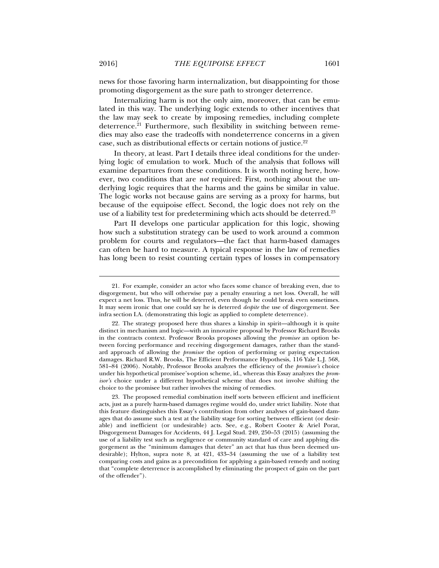news for those favoring harm internalization, but disappointing for those promoting disgorgement as the sure path to stronger deterrence.

Internalizing harm is not the only aim, moreover, that can be emulated in this way. The underlying logic extends to other incentives that the law may seek to create by imposing remedies, including complete deterrence.<sup>21</sup> Furthermore, such flexibility in switching between remedies may also ease the tradeoffs with nondeterrence concerns in a given case, such as distributional effects or certain notions of justice.<sup>22</sup>

In theory, at least. Part I details three ideal conditions for the underlying logic of emulation to work. Much of the analysis that follows will examine departures from these conditions. It is worth noting here, however, two conditions that are *not* required: First, nothing about the underlying logic requires that the harms and the gains be similar in value. The logic works not because gains are serving as a proxy for harms, but because of the equipoise effect. Second, the logic does not rely on the use of a liability test for predetermining which acts should be deterred.<sup>23</sup>

Part II develops one particular application for this logic, showing how such a substitution strategy can be used to work around a common problem for courts and regulators—the fact that harm-based damages can often be hard to measure. A typical response in the law of remedies has long been to resist counting certain types of losses in compensatory

 <sup>21.</sup> For example, consider an actor who faces some chance of breaking even, due to disgorgement, but who will otherwise pay a penalty ensuring a net loss. Overall, he will expect a net loss. Thus, he will be deterred, even though he could break even sometimes. It may seem ironic that one could say he is deterred *despite* the use of disgorgement. See infra section I.A. (demonstrating this logic as applied to complete deterrence).

 <sup>22.</sup> The strategy proposed here thus shares a kinship in spirit—although it is quite distinct in mechanism and logic—with an innovative proposal by Professor Richard Brooks in the contracts context. Professor Brooks proposes allowing the *promisee* an option between forcing performance and receiving disgorgement damages, rather than the standard approach of allowing the *promisor* the option of performing or paying expectation damages. Richard R.W. Brooks, The Efficient Performance Hypothesis, 116 Yale L.J. 568, 581–84 (2006). Notably, Professor Brooks analyzes the efficiency of the *promisee's* choice under his hypothetical promisee's-option scheme, id., whereas this Essay analyzes the *promisor's* choice under a different hypothetical scheme that does not involve shifting the choice to the promisee but rather involves the mixing of remedies.

 <sup>23.</sup> The proposed remedial combination itself sorts between efficient and inefficient acts, just as a purely harm-based damages regime would do, under strict liability. Note that this feature distinguishes this Essay's contribution from other analyses of gain-based damages that do assume such a test at the liability stage for sorting between efficient (or desirable) and inefficient (or undesirable) acts. See, e.g., Robert Cooter & Ariel Porat, Disgorgement Damages for Accidents, 44 J. Legal Stud. 249, 250–53 (2015) (assuming the use of a liability test such as negligence or community standard of care and applying disgorgement as the "minimum damages that deter" an act that has thus been deemed undesirable); Hylton, supra note 8, at 421, 433–34 (assuming the use of a liability test comparing costs and gains as a precondition for applying a gain-based remedy and noting that "complete deterrence is accomplished by eliminating the prospect of gain on the part of the offender").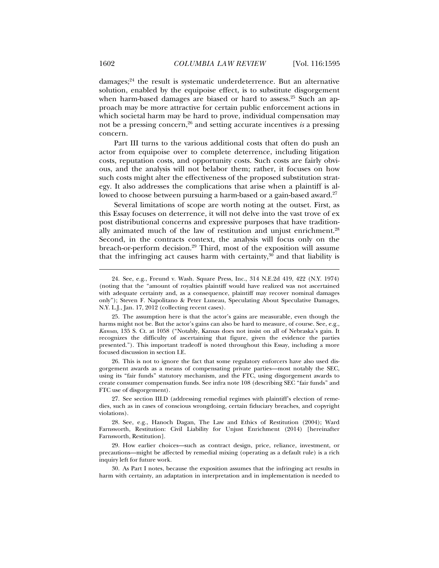damages;<sup>24</sup> the result is systematic underdeterrence. But an alternative solution, enabled by the equipoise effect, is to substitute disgorgement when harm-based damages are biased or hard to assess.<sup>25</sup> Such an approach may be more attractive for certain public enforcement actions in which societal harm may be hard to prove, individual compensation may not be a pressing concern,26 and setting accurate incentives *is* a pressing concern.

Part III turns to the various additional costs that often do push an actor from equipoise over to complete deterrence, including litigation costs, reputation costs, and opportunity costs. Such costs are fairly obvious, and the analysis will not belabor them; rather, it focuses on how such costs might alter the effectiveness of the proposed substitution strategy. It also addresses the complications that arise when a plaintiff is allowed to choose between pursuing a harm-based or a gain-based award.<sup>27</sup>

Several limitations of scope are worth noting at the outset. First, as this Essay focuses on deterrence, it will not delve into the vast trove of ex post distributional concerns and expressive purposes that have traditionally animated much of the law of restitution and unjust enrichment.28 Second, in the contracts context, the analysis will focus only on the breach-or-perform decision.29 Third, most of the exposition will assume that the infringing act causes harm with certainty,  $30^{\circ}$  and that liability is

 26. This is not to ignore the fact that some regulatory enforcers have also used disgorgement awards as a means of compensating private parties—most notably the SEC, using its "fair funds" statutory mechanism, and the FTC, using disgorgement awards to create consumer compensation funds. See infra note 108 (describing SEC "fair funds" and FTC use of disgorgement).

 27. See section III.D (addressing remedial regimes with plaintiff's election of remedies, such as in cases of conscious wrongdoing, certain fiduciary breaches, and copyright violations).

 28. See, e.g., Hanoch Dagan, The Law and Ethics of Restitution (2004); Ward Farnsworth, Restitution: Civil Liability for Unjust Enrichment (2014) [hereinafter Farnsworth, Restitution].

 29. How earlier choices—such as contract design, price, reliance, investment, or precautions—might be affected by remedial mixing (operating as a default rule) is a rich inquiry left for future work.

 30. As Part I notes, because the exposition assumes that the infringing act results in harm with certainty, an adaptation in interpretation and in implementation is needed to

 <sup>24.</sup> See, e.g., Freund v. Wash. Square Press, Inc., 314 N.E.2d 419, 422 (N.Y. 1974) (noting that the "amount of royalties plaintiff would have realized was not ascertained with adequate certainty and, as a consequence, plaintiff may recover nominal damages only"); Steven F. Napolitano & Peter Luneau, Speculating About Speculative Damages, N.Y. L.J., Jan. 17, 2012 (collecting recent cases).

 <sup>25.</sup> The assumption here is that the actor's gains are measurable, even though the harms might not be. But the actor's gains can also be hard to measure, of course. See, e.g., *Kansas*, 135 S. Ct. at 1058 ("Notably, Kansas does not insist on all of Nebraska's gain. It recognizes the difficulty of ascertaining that figure, given the evidence the parties presented."). This important tradeoff is noted throughout this Essay, including a more focused discussion in section I.E.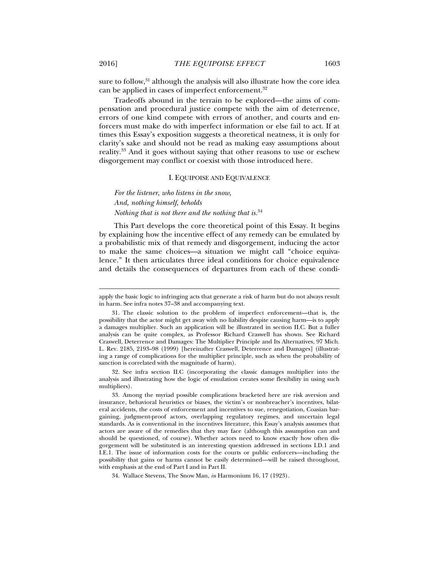sure to follow, $31$  although the analysis will also illustrate how the core idea can be applied in cases of imperfect enforcement.<sup>32</sup>

Tradeoffs abound in the terrain to be explored—the aims of compensation and procedural justice compete with the aim of deterrence, errors of one kind compete with errors of another, and courts and enforcers must make do with imperfect information or else fail to act. If at times this Essay's exposition suggests a theoretical neatness, it is only for clarity's sake and should not be read as making easy assumptions about reality.33 And it goes without saying that other reasons to use or eschew disgorgement may conflict or coexist with those introduced here.

### I. EQUIPOISE AND EQUIVALENCE

*For the listener, who listens in the snow, And, nothing himself, beholds Nothing that is not there and the nothing that is.*<sup>34</sup>

This Part develops the core theoretical point of this Essay. It begins by explaining how the incentive effect of any remedy can be emulated by a probabilistic mix of that remedy and disgorgement, inducing the actor to make the same choices—a situation we might call "choice equivalence." It then articulates three ideal conditions for choice equivalence and details the consequences of departures from each of these condi-

 32. See infra section II.C (incorporating the classic damages multiplier into the analysis and illustrating how the logic of emulation creates some flexibility in using such multipliers).

apply the basic logic to infringing acts that generate a risk of harm but do not always result in harm. See infra notes 37–38 and accompanying text.

 <sup>31.</sup> The classic solution to the problem of imperfect enforcement—that is, the possibility that the actor might get away with no liability despite causing harm—is to apply a damages multiplier. Such an application will be illustrated in section II.C. But a fuller analysis can be quite complex, as Professor Richard Craswell has shown. See Richard Craswell, Deterrence and Damages: The Multiplier Principle and Its Alternatives, 97 Mich. L. Rev. 2185, 2193–98 (1999) [hereinafter Craswell, Deterrence and Damages] (illustrating a range of complications for the multiplier principle, such as when the probability of sanction is correlated with the magnitude of harm).

 <sup>33.</sup> Among the myriad possible complications bracketed here are risk aversion and insurance, behavioral heuristics or biases, the victim's or nonbreacher's incentives, bilateral accidents, the costs of enforcement and incentives to sue, renegotiation, Coasian bargaining, judgment-proof actors, overlapping regulatory regimes, and uncertain legal standards. As is conventional in the incentives literature, this Essay's analysis assumes that actors are aware of the remedies that they may face (although this assumption can and should be questioned, of course). Whether actors need to know exactly how often disgorgement will be substituted is an interesting question addressed in sections I.D.1 and I.E.1. The issue of information costs for the courts or public enforcers—including the possibility that gains or harms cannot be easily determined—will be raised throughout, with emphasis at the end of Part I and in Part II.

 <sup>34.</sup> Wallace Stevens, The Snow Man, *in* Harmonium 16, 17 (1923).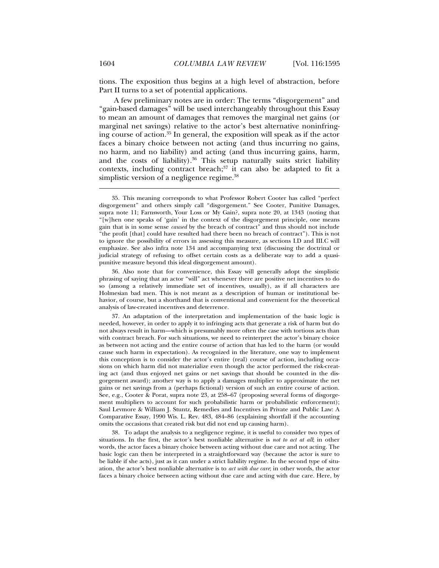tions. The exposition thus begins at a high level of abstraction, before Part II turns to a set of potential applications.

A few preliminary notes are in order: The terms "disgorgement" and "gain-based damages" will be used interchangeably throughout this Essay to mean an amount of damages that removes the marginal net gains (or marginal net savings) relative to the actor's best alternative noninfringing course of action.<sup>35</sup> In general, the exposition will speak as if the actor faces a binary choice between not acting (and thus incurring no gains, no harm, and no liability) and acting (and thus incurring gains, harm, and the costs of liability).<sup>36</sup> This setup naturally suits strict liability contexts, including contract breach; $37$  it can also be adapted to fit a simplistic version of a negligence regime.<sup>38</sup>

 36. Also note that for convenience, this Essay will generally adopt the simplistic phrasing of saying that an actor "will" act whenever there are positive net incentives to do so (among a relatively immediate set of incentives, usually), as if all characters are Holmesian bad men. This is not meant as a description of human or institutional behavior, of course, but a shorthand that is conventional and convenient for the theoretical analysis of law-created incentives and deterrence.

 37. An adaptation of the interpretation and implementation of the basic logic is needed, however, in order to apply it to infringing acts that generate a risk of harm but do not always result in harm—which is presumably more often the case with tortious acts than with contract breach. For such situations, we need to reinterpret the actor's binary choice as between not acting and the entire course of action that has led to the harm (or would cause such harm in expectation). As recognized in the literature, one way to implement this conception is to consider the actor's entire (real) course of action, including occasions on which harm did not materialize even though the actor performed the risk-creating act (and thus enjoyed net gains or net savings that should be counted in the disgorgement award); another way is to apply a damages multiplier to approximate the net gains or net savings from a (perhaps fictional) version of such an entire course of action. See, e.g., Cooter & Porat, supra note 23, at 258–67 (proposing several forms of disgorgement multipliers to account for such probabilistic harm or probabilistic enforcement); Saul Levmore & William J. Stuntz, Remedies and Incentives in Private and Public Law: A Comparative Essay, 1990 Wis. L. Rev. 483, 484–86 (explaining shortfall if the accounting omits the occasions that created risk but did not end up causing harm).

 38. To adapt the analysis to a negligence regime, it is useful to consider two types of situations. In the first, the actor's best nonliable alternative is *not to act at all*; in other words, the actor faces a binary choice between acting without due care and not acting. The basic logic can then be interpreted in a straightforward way (because the actor is sure to be liable if she acts), just as it can under a strict liability regime. In the second type of situation, the actor's best nonliable alternative is to *act with due care*; in other words, the actor faces a binary choice between acting without due care and acting with due care. Here, by

 <sup>35.</sup> This meaning corresponds to what Professor Robert Cooter has called "perfect disgorgement" and others simply call "disgorgement." See Cooter, Punitive Damages, supra note 11; Farnsworth, Your Loss or My Gain?, supra note 20, at 1343 (noting that "[w]hen one speaks of 'gain' in the context of the disgorgement principle, one means gain that is in some sense *caused* by the breach of contract" and thus should not include "the profit [that] could have resulted had there been no breach of contract"). This is not to ignore the possibility of errors in assessing this measure, as sections I.D and III.C will emphasize. See also infra note 134 and accompanying text (discussing the doctrinal or judicial strategy of refusing to offset certain costs as a deliberate way to add a quasipunitive measure beyond this ideal disgorgement amount).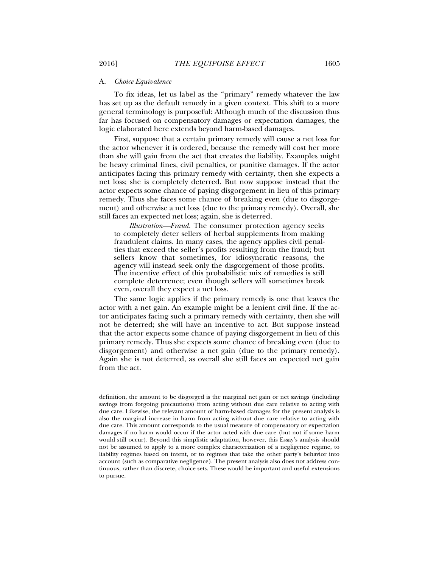#### A. *Choice Equivalence*

To fix ideas, let us label as the "primary" remedy whatever the law has set up as the default remedy in a given context. This shift to a more general terminology is purposeful: Although much of the discussion thus far has focused on compensatory damages or expectation damages, the logic elaborated here extends beyond harm-based damages.

First, suppose that a certain primary remedy will cause a net loss for the actor whenever it is ordered, because the remedy will cost her more than she will gain from the act that creates the liability. Examples might be heavy criminal fines, civil penalties, or punitive damages. If the actor anticipates facing this primary remedy with certainty, then she expects a net loss; she is completely deterred. But now suppose instead that the actor expects some chance of paying disgorgement in lieu of this primary remedy. Thus she faces some chance of breaking even (due to disgorgement) and otherwise a net loss (due to the primary remedy). Overall, she still faces an expected net loss; again, she is deterred.

*Illustration—Fraud.* The consumer protection agency seeks to completely deter sellers of herbal supplements from making fraudulent claims. In many cases, the agency applies civil penalties that exceed the seller's profits resulting from the fraud; but sellers know that sometimes, for idiosyncratic reasons, the agency will instead seek only the disgorgement of those profits. The incentive effect of this probabilistic mix of remedies is still complete deterrence; even though sellers will sometimes break even, overall they expect a net loss.

The same logic applies if the primary remedy is one that leaves the actor with a net gain. An example might be a lenient civil fine. If the actor anticipates facing such a primary remedy with certainty, then she will not be deterred; she will have an incentive to act. But suppose instead that the actor expects some chance of paying disgorgement in lieu of this primary remedy. Thus she expects some chance of breaking even (due to disgorgement) and otherwise a net gain (due to the primary remedy). Again she is not deterred, as overall she still faces an expected net gain from the act.

definition, the amount to be disgorged is the marginal net gain or net savings (including savings from forgoing precautions) from acting without due care relative to acting with due care. Likewise, the relevant amount of harm-based damages for the present analysis is also the marginal increase in harm from acting without due care relative to acting with due care. This amount corresponds to the usual measure of compensatory or expectation damages if no harm would occur if the actor acted with due care (but not if some harm would still occur). Beyond this simplistic adaptation, however, this Essay's analysis should not be assumed to apply to a more complex characterization of a negligence regime, to liability regimes based on intent, or to regimes that take the other party's behavior into account (such as comparative negligence). The present analysis also does not address continuous, rather than discrete, choice sets. These would be important and useful extensions to pursue.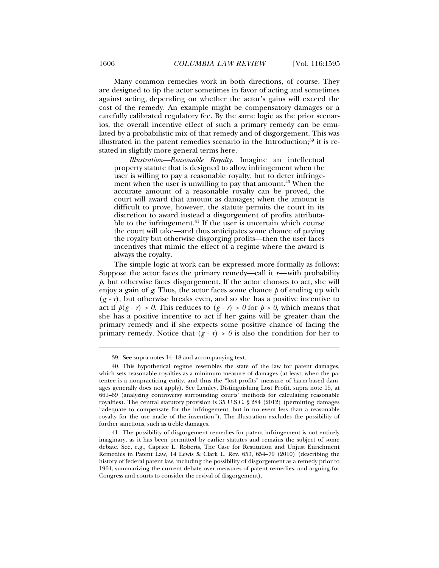against acting, depending on whether the actor's gains will exceed the cost of the remedy. An example might be compensatory damages or a carefully calibrated regulatory fee. By the same logic as the prior scenarios, the overall incentive effect of such a primary remedy can be emulated by a probabilistic mix of that remedy and of disgorgement. This was illustrated in the patent remedies scenario in the Introduction; $39$  it is restated in slightly more general terms here.

*Illustration—Reasonable Royalty.* Imagine an intellectual property statute that is designed to allow infringement when the user is willing to pay a reasonable royalty, but to deter infringement when the user is unwilling to pay that amount.<sup>40</sup> When the accurate amount of a reasonable royalty can be proved, the court will award that amount as damages; when the amount is difficult to prove, however, the statute permits the court in its discretion to award instead a disgorgement of profits attributable to the infringement.<sup>41</sup> If the user is uncertain which course the court will take—and thus anticipates some chance of paying the royalty but otherwise disgorging profits—then the user faces incentives that mimic the effect of a regime where the award is always the royalty.

The simple logic at work can be expressed more formally as follows: Suppose the actor faces the primary remedy—call it *r*—with probability *p*, but otherwise faces disgorgement. If the actor chooses to act, she will enjoy a gain of *g*. Thus, the actor faces some chance *p* of ending up with  $(g - r)$ , but otherwise breaks even, and so she has a positive incentive to act if  $p(g - r) > 0$ . This reduces to  $(g - r) > 0$  for  $p > 0$ , which means that she has a positive incentive to act if her gains will be greater than the primary remedy and if she expects some positive chance of facing the primary remedy. Notice that  $(g - r) > 0$  is also the condition for her to

 <sup>39.</sup> See supra notes 14–18 and accompanying text.

 <sup>40.</sup> This hypothetical regime resembles the state of the law for patent damages, which sets reasonable royalties as a minimum measure of damages (at least, when the patentee is a nonpracticing entity, and thus the "lost profits" measure of harm-based damages generally does not apply). See Lemley, Distinguishing Lost Profit, supra note 15, at 661–69 (analyzing controversy surrounding courts' methods for calculating reasonable royalties). The central statutory provision is 35 U.S.C. § 284 (2012) (permitting damages "adequate to compensate for the infringement, but in no event less than a reasonable royalty for the use made of the invention"). The illustration excludes the possibility of further sanctions, such as treble damages.

 <sup>41.</sup> The possibility of disgorgement remedies for patent infringement is not entirely imaginary, as it has been permitted by earlier statutes and remains the subject of some debate. See, e.g., Caprice L. Roberts, The Case for Restitution and Unjust Enrichment Remedies in Patent Law, 14 Lewis & Clark L. Rev. 653, 654–70 (2010) (describing the history of federal patent law, including the possibility of disgorgement as a remedy prior to 1964, summarizing the current debate over measures of patent remedies, and arguing for Congress and courts to consider the revival of disgorgement).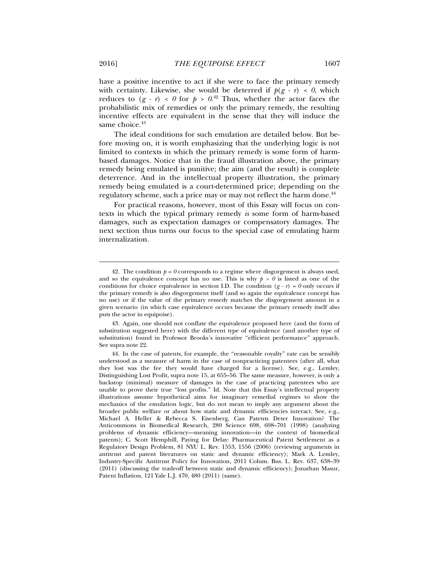have a positive incentive to act if she were to face the primary remedy with certainty. Likewise, she would be deterred if  $p(g - r) < 0$ , which reduces to  $(g - r) < 0$  for  $p > 0.42$  Thus, whether the actor faces the probabilistic mix of remedies or only the primary remedy, the resulting incentive effects are equivalent in the sense that they will induce the same choice.<sup>43</sup>

The ideal conditions for such emulation are detailed below. But before moving on, it is worth emphasizing that the underlying logic is not limited to contexts in which the primary remedy is some form of harmbased damages. Notice that in the fraud illustration above, the primary remedy being emulated is punitive; the aim (and the result) is complete deterrence. And in the intellectual property illustration, the primary remedy being emulated is a court-determined price; depending on the regulatory scheme, such a price may or may not reflect the harm done.<sup>44</sup>

For practical reasons, however, most of this Essay will focus on contexts in which the typical primary remedy *is* some form of harm-based damages, such as expectation damages or compensatory damages. The next section thus turns our focus to the special case of emulating harm internalization.

<sup>42.</sup> The condition  $p = 0$  corresponds to a regime where disgorgement is always used, and so the equivalence concept has no use. This is why  $p > 0$  is listed as one of the conditions for choice equivalence in section I.D. The condition  $(g - r) = 0$  only occurs if the primary remedy is also disgorgement itself (and so again the equivalence concept has no use) or if the value of the primary remedy matches the disgorgement amount in a given scenario (in which case equivalence occurs because the primary remedy itself also puts the actor in equipoise).

 <sup>43.</sup> Again, one should not conflate the equivalence proposed here (and the form of substitution suggested here) with the different type of equivalence (and another type of substitution) found in Professor Brooks's innovative "efficient performance" approach. See supra note 22.

 <sup>44.</sup> In the case of patents, for example, the "reasonable royalty" rate can be sensibly understood as a measure of harm in the case of nonpracticing patentees (after all, what they lost was the fee they would have charged for a license). See, e.g., Lemley, Distinguishing Lost Profit, supra note 15, at 655–56. The same measure, however, is only a backstop (minimal) measure of damages in the case of practicing patentees who are unable to prove their true "lost profits." Id. Note that this Essay's intellectual property illustrations assume hypothetical aims for imaginary remedial regimes to show the mechanics of the emulation logic, but do not mean to imply any argument about the broader public welfare or about how static and dynamic efficiencies interact. See, e.g., Michael A. Heller & Rebecca S. Eisenberg, Can Patents Deter Innovation? The Anticommons in Biomedical Research, 280 Science 698, 698–701 (1998) (analyzing problems of dynamic efficiency—meaning innovation—in the context of biomedical patents); C. Scott Hemphill, Paying for Delay: Pharmaceutical Patent Settlement as a Regulatory Design Problem, 81 NYU L. Rev. 1553, 1556 (2006) (reviewing arguments in antitrust and patent literatures on static and dynamic efficiency); Mark A. Lemley, Industry-Specific Antitrust Policy for Innovation, 2011 Colum. Bus. L. Rev. 637, 638–39 (2011) (discussing the tradeoff between static and dynamic efficiency); Jonathan Masur, Patent Inflation, 121 Yale L.J. 470, 480 (2011) (same).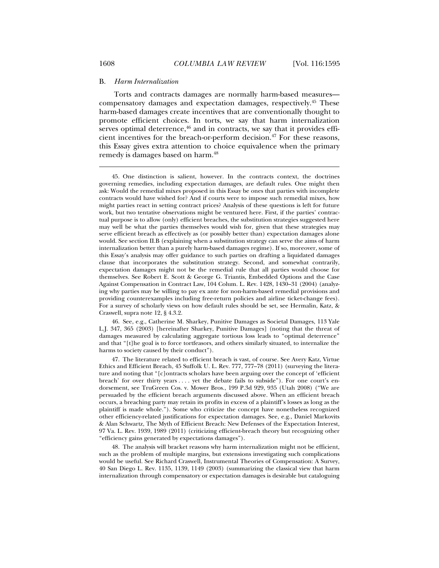#### B. *Harm Internalization*

Torts and contracts damages are normally harm-based measures compensatory damages and expectation damages, respectively.45 These harm-based damages create incentives that are conventionally thought to promote efficient choices. In torts, we say that harm internalization serves optimal deterrence,<sup>46</sup> and in contracts, we say that it provides efficient incentives for the breach-or-perform decision.<sup>47</sup> For these reasons, this Essay gives extra attention to choice equivalence when the primary remedy is damages based on harm.48

 46. See, e.g., Catherine M. Sharkey, Punitive Damages as Societal Damages, 113 Yale L.J. 347, 365 (2003) [hereinafter Sharkey, Punitive Damages] (noting that the threat of damages measured by calculating aggregate tortious loss leads to "optimal deterrence" and that "[t]he goal is to force tortfeasors, and others similarly situated, to internalize the harms to society caused by their conduct").

 47. The literature related to efficient breach is vast, of course. See Avery Katz, Virtue Ethics and Efficient Breach, 45 Suffolk U. L. Rev. 777, 777–78 (2011) (surveying the literature and noting that "[c]ontracts scholars have been arguing over the concept of 'efficient breach' for over thirty years . . . . yet the debate fails to subside"). For one court's endorsement, see TruGreen Cos. v. Mower Bros., 199 P.3d 929, 935 (Utah 2008) ("We are persuaded by the efficient breach arguments discussed above. When an efficient breach occurs, a breaching party may retain its profits in excess of a plaintiff's losses as long as the plaintiff is made whole."). Some who criticize the concept have nonetheless recognized other efficiency-related justifications for expectation damages. See, e.g., Daniel Markovits & Alan Schwartz, The Myth of Efficient Breach: New Defenses of the Expectation Interest, 97 Va. L. Rev. 1939, 1989 (2011) (criticizing efficient-breach theory but recognizing other "efficiency gains generated by expectations damages").

 48. The analysis will bracket reasons why harm internalization might not be efficient, such as the problem of multiple margins, but extensions investigating such complications would be useful. See Richard Craswell, Instrumental Theories of Compensation: A Survey, 40 San Diego L. Rev. 1135, 1139, 1149 (2003) (summarizing the classical view that harm internalization through compensatory or expectation damages is desirable but cataloguing

 <sup>45.</sup> One distinction is salient, however. In the contracts context, the doctrines governing remedies, including expectation damages, are default rules. One might then ask: Would the remedial mixes proposed in this Essay be ones that parties with incomplete contracts would have wished for? And if courts were to impose such remedial mixes, how might parties react in setting contract prices? Analysis of these questions is left for future work, but two tentative observations might be ventured here. First, if the parties' contractual purpose is to allow (only) efficient breaches, the substitution strategies suggested here may well be what the parties themselves would wish for, given that these strategies may serve efficient breach as effectively as (or possibly better than) expectation damages alone would. See section II.B (explaining when a substitution strategy can serve the aims of harm internalization better than a purely harm-based damages regime). If so, moreover, some of this Essay's analysis may offer guidance to such parties on drafting a liquidated damages clause that incorporates the substitution strategy. Second, and somewhat contrarily, expectation damages might not be the remedial rule that all parties would choose for themselves. See Robert E. Scott & George G. Triantis, Embedded Options and the Case Against Compensation in Contract Law, 104 Colum. L. Rev. 1428, 1430–31 (2004) (analyzing why parties may be willing to pay ex ante for non-harm-based remedial provisions and providing counterexamples including free-return policies and airline ticket-change fees). For a survey of scholarly views on how default rules should be set, see Hermalin, Katz, & Craswell, supra note 12, § 4.3.2.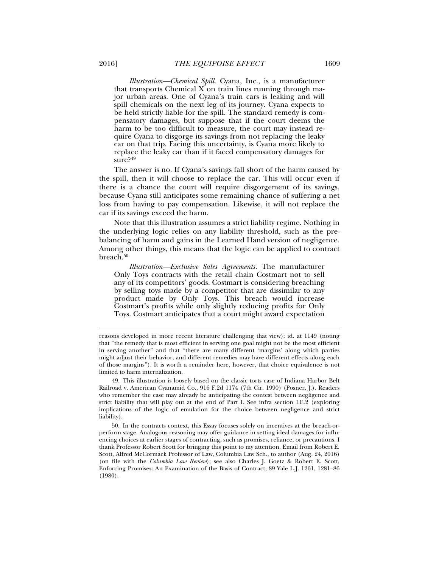*Illustration—Chemical Spill*. Cyana, Inc., is a manufacturer that transports Chemical X on train lines running through major urban areas. One of Cyana's train cars is leaking and will spill chemicals on the next leg of its journey. Cyana expects to be held strictly liable for the spill. The standard remedy is compensatory damages, but suppose that if the court deems the harm to be too difficult to measure, the court may instead require Cyana to disgorge its savings from not replacing the leaky car on that trip. Facing this uncertainty, is Cyana more likely to replace the leaky car than if it faced compensatory damages for sure?49

The answer is no. If Cyana's savings fall short of the harm caused by the spill, then it will choose to replace the car. This will occur even if there is a chance the court will require disgorgement of its savings, because Cyana still anticipates some remaining chance of suffering a net loss from having to pay compensation. Likewise, it will not replace the car if its savings exceed the harm.

Note that this illustration assumes a strict liability regime. Nothing in the underlying logic relies on any liability threshold, such as the prebalancing of harm and gains in the Learned Hand version of negligence. Among other things, this means that the logic can be applied to contract breach.<sup>50</sup>

*Illustration—Exclusive Sales Agreements.* The manufacturer Only Toys contracts with the retail chain Costmart not to sell any of its competitors' goods. Costmart is considering breaching by selling toys made by a competitor that are dissimilar to any product made by Only Toys. This breach would increase Costmart's profits while only slightly reducing profits for Only Toys. Costmart anticipates that a court might award expectation

reasons developed in more recent literature challenging that view); id. at 1149 (noting that "the remedy that is most efficient in serving one goal might not be the most efficient in serving another" and that "there are many different 'margins' along which parties might adjust their behavior, and different remedies may have different effects along each of those margins"). It is worth a reminder here, however, that choice equivalence is not limited to harm internalization.

 <sup>49.</sup> This illustration is loosely based on the classic torts case of Indiana Harbor Belt Railroad v. American Cyanamid Co., 916 F.2d 1174 (7th Cir. 1990) (Posner, J.). Readers who remember the case may already be anticipating the contest between negligence and strict liability that will play out at the end of Part I. See infra section I.E.2 (exploring implications of the logic of emulation for the choice between negligence and strict liability).

 <sup>50.</sup> In the contracts context, this Essay focuses solely on incentives at the breach-orperform stage. Analogous reasoning may offer guidance in setting ideal damages for influencing choices at earlier stages of contracting, such as promises, reliance, or precautions. I thank Professor Robert Scott for bringing this point to my attention. Email from Robert E. Scott, Alfred McCormack Professor of Law, Columbia Law Sch., to author (Aug. 24, 2016) (on file with the *Columbia Law Review*); see also Charles J. Goetz & Robert E. Scott, Enforcing Promises: An Examination of the Basis of Contract, 89 Yale L.J. 1261, 1281–86 (1980).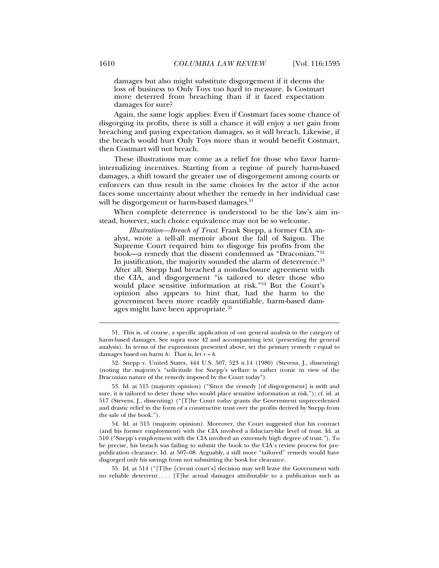damages but also might substitute disgorgement if it deems the loss of business to Only Toys too hard to measure. Is Costmart more deterred from breaching than if it faced expectation damages for sure?

Again, the same logic applies: Even if Costmart faces some chance of disgorging its profits, there is still a chance it will enjoy a net gain from breaching and paying expectation damages, so it will breach. Likewise, if the breach would hurt Only Toys more than it would benefit Costmart, then Costmart will not breach.

These illustrations may come as a relief for those who favor harminternalizing incentives. Starting from a regime of purely harm-based damages, a shift toward the greater use of disgorgement among courts or enforcers can thus result in the same choices by the actor if the actor faces some uncertainty about whether the remedy in her individual case will be disgorgement or harm-based damages.<sup>51</sup>

When complete deterrence is understood to be the law's aim instead, however, such choice equivalence may not be so welcome.

*Illustration—Breach of Trust*. Frank Snepp, a former CIA analyst, wrote a tell-all memoir about the fall of Saigon. The Supreme Court required him to disgorge his profits from the book—a remedy that the dissent condemned as "Draconian."52 In justification, the majority sounded the alarm of deterrence.<sup>53</sup> After all, Snepp had breached a nondisclosure agreement with the CIA, and disgorgement "is tailored to deter those who would place sensitive information at risk."54 But the Court's opinion also appears to hint that, had the harm to the government been more readily quantifiable, harm-based damages might have been appropriate.<sup>55</sup>

 53. Id. at 515 (majority opinion) ("Since the remedy [of disgorgement] is swift and sure, it is tailored to deter those who would place sensitive information at risk."); cf. id. at 517 (Stevens, J., dissenting) ("[T]he Court today grants the Government unprecedented and drastic relief in the form of a constructive trust over the profits derived by Snepp from the sale of the book.").

 54. Id. at 515 (majority opinion). Moreover, the Court suggested that his contract (and his former employment) with the CIA involved a fiduciary-like level of trust. Id. at 510 ("Snepp's employment with the CIA involved an extremely high degree of trust."). To be precise, his breach was failing to submit the book to the CIA's review process for prepublication clearance. Id. at 507–08. Arguably, a still more "tailored" remedy would have disgorged only his savings from not submitting the book for clearance.

 55. Id. at 514 ("[T]he [circuit court's] decision may well leave the Government with no reliable deterrent . . . . [T]he actual damages attributable to a publication such as

 <sup>51.</sup> This is, of course, a specific application of our general analysis to the category of harm-based damages. See supra note 42 and accompanying text (presenting the general analysis). In terms of the expressions presented above, set the primary remedy *r* equal to damages based on harm *h*: That is, let *r = h*.

 <sup>52.</sup> Snepp v. United States, 444 U.S. 507, 523 n.14 (1980) (Stevens, J., dissenting) (noting the majority's "solicitude for Snepp's welfare is rather ironic in view of the Draconian nature of the remedy imposed by the Court today").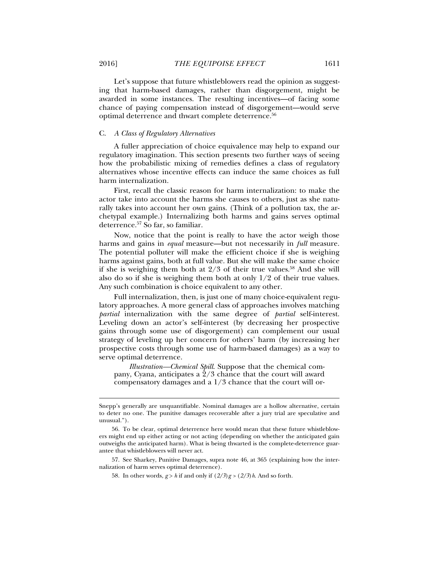Let's suppose that future whistleblowers read the opinion as suggesting that harm-based damages, rather than disgorgement, might be awarded in some instances. The resulting incentives—of facing some chance of paying compensation instead of disgorgement—would serve optimal deterrence and thwart complete deterrence.56

# C. *A Class of Regulatory Alternatives*

A fuller appreciation of choice equivalence may help to expand our regulatory imagination. This section presents two further ways of seeing how the probabilistic mixing of remedies defines a class of regulatory alternatives whose incentive effects can induce the same choices as full harm internalization.

First, recall the classic reason for harm internalization: to make the actor take into account the harms she causes to others, just as she naturally takes into account her own gains. (Think of a pollution tax, the archetypal example.) Internalizing both harms and gains serves optimal deterrence.57 So far, so familiar.

Now, notice that the point is really to have the actor weigh those harms and gains in *equal* measure—but not necessarily in *full* measure. The potential polluter will make the efficient choice if she is weighing harms against gains, both at full value. But she will make the same choice if she is weighing them both at  $2/3$  of their true values.<sup>58</sup> And she will also do so if she is weighing them both at only  $1/2$  of their true values. Any such combination is choice equivalent to any other.

Full internalization, then, is just one of many choice-equivalent regulatory approaches. A more general class of approaches involves matching *partial* internalization with the same degree of *partial* self-interest. Leveling down an actor's self-interest (by decreasing her prospective gains through some use of disgorgement) can complement our usual strategy of leveling up her concern for others' harm (by increasing her prospective costs through some use of harm-based damages) as a way to serve optimal deterrence.

*Illustration—Chemical Spill*. Suppose that the chemical company, Cyana, anticipates a  $2/3$  chance that the court will award compensatory damages and a 1/3 chance that the court will or-

 57. See Sharkey, Punitive Damages, supra note 46, at 365 (explaining how the internalization of harm serves optimal deterrence).

58. In other words,  $g > h$  if and only if  $\left(\frac{2}{3}\right)g > \left(\frac{2}{3}\right)h$ . And so forth.

Snepp's generally are unquantifiable. Nominal damages are a hollow alternative, certain to deter no one. The punitive damages recoverable after a jury trial are speculative and unusual.").

 <sup>56.</sup> To be clear, optimal deterrence here would mean that these future whistleblowers might end up either acting or not acting (depending on whether the anticipated gain outweighs the anticipated harm). What is being thwarted is the complete-deterrence guarantee that whistleblowers will never act.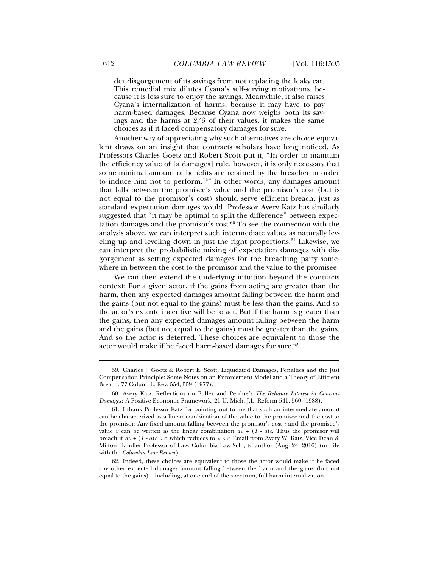der disgorgement of its savings from not replacing the leaky car. This remedial mix dilutes Cyana's self-serving motivations, because it is less sure to enjoy the savings. Meanwhile, it also raises Cyana's internalization of harms, because it may have to pay harm-based damages. Because Cyana now weighs both its savings and the harms at 2/3 of their values, it makes the same choices as if it faced compensatory damages for sure.

Another way of appreciating why such alternatives are choice equivalent draws on an insight that contracts scholars have long noticed. As Professors Charles Goetz and Robert Scott put it, "In order to maintain the efficiency value of [a damages] rule, however, it is only necessary that some minimal amount of benefits are retained by the breacher in order to induce him not to perform."59 In other words, any damages amount that falls between the promisee's value and the promisor's cost (but is not equal to the promisor's cost) should serve efficient breach, just as standard expectation damages would. Professor Avery Katz has similarly suggested that "it may be optimal to split the difference" between expectation damages and the promisor's cost. $60$  To see the connection with the analysis above, we can interpret such intermediate values as naturally leveling up and leveling down in just the right proportions.<sup>61</sup> Likewise, we can interpret the probabilistic mixing of expectation damages with disgorgement as setting expected damages for the breaching party somewhere in between the cost to the promisor and the value to the promisee.

We can then extend the underlying intuition beyond the contracts context: For a given actor, if the gains from acting are greater than the harm, then any expected damages amount falling between the harm and the gains (but not equal to the gains) must be less than the gains. And so the actor's ex ante incentive will be to act. But if the harm is greater than the gains, then any expected damages amount falling between the harm and the gains (but not equal to the gains) must be greater than the gains. And so the actor is deterred. These choices are equivalent to those the actor would make if he faced harm-based damages for sure.<sup>62</sup>

 <sup>59.</sup> Charles J. Goetz & Robert E. Scott, Liquidated Damages, Penalties and the Just Compensation Principle: Some Notes on an Enforcement Model and a Theory of Efficient Breach, 77 Colum. L. Rev. 554, 559 (1977).

 <sup>60.</sup> Avery Katz, Reflections on Fuller and Perdue's *The Reliance Interest in Contract Damages*: A Positive Economic Framework, 21 U. Mich. J.L. Reform 541, 560 (1988).

 <sup>61.</sup> I thank Professor Katz for pointing out to me that such an intermediate amount can be characterized as a linear combination of the value to the promisee and the cost to the promisor: Any fixed amount falling between the promisor's cost  $c$  and the promisee's value *v* can be written as the linear combination  $av + (1 - a)c$ . Thus the promisor will breach if  $av + (1 - a)c < c$ , which reduces to  $v < c$ . Email from Avery W. Katz, Vice Dean & Milton Handler Professor of Law, Columbia Law Sch., to author (Aug. 24, 2016) (on file with the *Columbia Law Review*).

 <sup>62.</sup> Indeed, these choices are equivalent to those the actor would make if he faced any other expected damages amount falling between the harm and the gains (but not equal to the gains)—including, at one end of the spectrum, full harm internalization.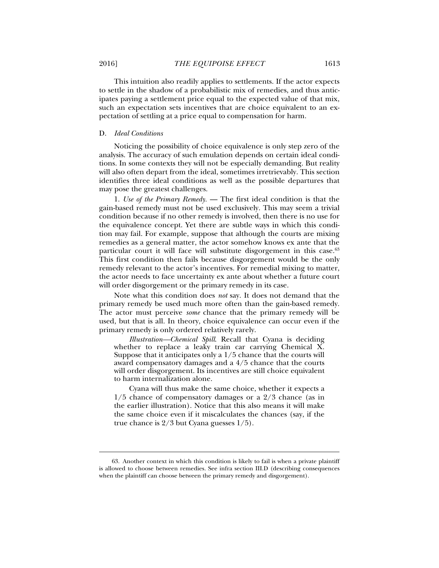This intuition also readily applies to settlements. If the actor expects to settle in the shadow of a probabilistic mix of remedies, and thus anticipates paying a settlement price equal to the expected value of that mix, such an expectation sets incentives that are choice equivalent to an expectation of settling at a price equal to compensation for harm.

# D. *Ideal Conditions*

Noticing the possibility of choice equivalence is only step zero of the analysis. The accuracy of such emulation depends on certain ideal conditions. In some contexts they will not be especially demanding. But reality will also often depart from the ideal, sometimes irretrievably. This section identifies three ideal conditions as well as the possible departures that may pose the greatest challenges.

1. *Use of the Primary Remedy.* — The first ideal condition is that the gain-based remedy must not be used exclusively. This may seem a trivial condition because if no other remedy is involved, then there is no use for the equivalence concept. Yet there are subtle ways in which this condition may fail. For example, suppose that although the courts are mixing remedies as a general matter, the actor somehow knows ex ante that the particular court it will face will substitute disgorgement in this case.<sup>63</sup> This first condition then fails because disgorgement would be the only remedy relevant to the actor's incentives. For remedial mixing to matter, the actor needs to face uncertainty ex ante about whether a future court will order disgorgement or the primary remedy in its case.

Note what this condition does *not* say. It does not demand that the primary remedy be used much more often than the gain-based remedy. The actor must perceive *some* chance that the primary remedy will be used, but that is all. In theory, choice equivalence can occur even if the primary remedy is only ordered relatively rarely.

*Illustration—Chemical Spill*. Recall that Cyana is deciding whether to replace a leaky train car carrying Chemical X. Suppose that it anticipates only a 1/5 chance that the courts will award compensatory damages and a 4/5 chance that the courts will order disgorgement. Its incentives are still choice equivalent to harm internalization alone.

Cyana will thus make the same choice, whether it expects a 1/5 chance of compensatory damages or a 2/3 chance (as in the earlier illustration). Notice that this also means it will make the same choice even if it miscalculates the chances (say, if the true chance is 2/3 but Cyana guesses 1/5).

 <sup>63.</sup> Another context in which this condition is likely to fail is when a private plaintiff is allowed to choose between remedies. See infra section III.D (describing consequences when the plaintiff can choose between the primary remedy and disgorgement).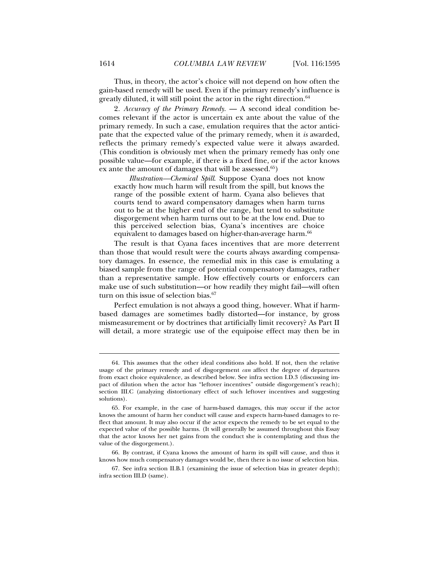Thus, in theory, the actor's choice will not depend on how often the gain-based remedy will be used. Even if the primary remedy's influence is greatly diluted, it will still point the actor in the right direction.<sup>64</sup>

2*. Accuracy of the Primary Remedy*. — A second ideal condition becomes relevant if the actor is uncertain ex ante about the value of the primary remedy. In such a case, emulation requires that the actor anticipate that the expected value of the primary remedy, when it *is* awarded, reflects the primary remedy's expected value were it always awarded. (This condition is obviously met when the primary remedy has only one possible value—for example, if there is a fixed fine, or if the actor knows ex ante the amount of damages that will be assessed.<sup>65</sup>)

*Illustration—Chemical Spill*. Suppose Cyana does not know exactly how much harm will result from the spill, but knows the range of the possible extent of harm. Cyana also believes that courts tend to award compensatory damages when harm turns out to be at the higher end of the range, but tend to substitute disgorgement when harm turns out to be at the low end. Due to this perceived selection bias, Cyana's incentives are choice equivalent to damages based on higher-than-average harm.<sup>66</sup>

The result is that Cyana faces incentives that are more deterrent than those that would result were the courts always awarding compensatory damages. In essence, the remedial mix in this case is emulating a biased sample from the range of potential compensatory damages, rather than a representative sample. How effectively courts or enforcers can make use of such substitution—or how readily they might fail—will often turn on this issue of selection bias.<sup>67</sup>

Perfect emulation is not always a good thing, however. What if harmbased damages are sometimes badly distorted—for instance, by gross mismeasurement or by doctrines that artificially limit recovery? As Part II will detail, a more strategic use of the equipoise effect may then be in

 <sup>64.</sup> This assumes that the other ideal conditions also hold. If not, then the relative usage of the primary remedy and of disgorgement *can* affect the degree of departures from exact choice equivalence, as described below. See infra section I.D.3 (discussing impact of dilution when the actor has "leftover incentives" outside disgorgement's reach); section III.C (analyzing distortionary effect of such leftover incentives and suggesting solutions).

 <sup>65.</sup> For example, in the case of harm-based damages, this may occur if the actor knows the amount of harm her conduct will cause and expects harm-based damages to reflect that amount. It may also occur if the actor expects the remedy to be set equal to the expected value of the possible harms. (It will generally be assumed throughout this Essay that the actor knows her net gains from the conduct she is contemplating and thus the value of the disgorgement.).

 <sup>66.</sup> By contrast, if Cyana knows the amount of harm its spill will cause, and thus it knows how much compensatory damages would be, then there is no issue of selection bias.

 <sup>67.</sup> See infra section II.B.1 (examining the issue of selection bias in greater depth); infra section III.D (same).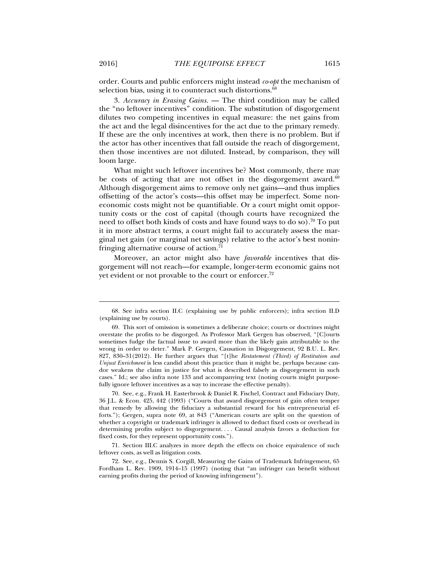order. Courts and public enforcers might instead *co-opt* the mechanism of selection bias, using it to counteract such distortions.<sup>68</sup>

3. *Accuracy in Erasing Gains.* — The third condition may be called the "no leftover incentives" condition. The substitution of disgorgement dilutes two competing incentives in equal measure: the net gains from the act and the legal disincentives for the act due to the primary remedy. If these are the only incentives at work, then there is no problem. But if the actor has other incentives that fall outside the reach of disgorgement, then those incentives are not diluted. Instead, by comparison, they will loom large.

What might such leftover incentives be? Most commonly, there may be costs of acting that are not offset in the disgorgement award. $69$ Although disgorgement aims to remove only net gains—and thus implies offsetting of the actor's costs—this offset may be imperfect. Some noneconomic costs might not be quantifiable. Or a court might omit opportunity costs or the cost of capital (though courts have recognized the need to offset both kinds of costs and have found ways to do so).<sup>70</sup> To put it in more abstract terms, a court might fail to accurately assess the marginal net gain (or marginal net savings) relative to the actor's best noninfringing alternative course of action.<sup>71</sup>

Moreover, an actor might also have *favorable* incentives that disgorgement will not reach—for example, longer-term economic gains not yet evident or not provable to the court or enforcer.72

 70. See, e.g., Frank H. Easterbrook & Daniel R. Fischel, Contract and Fiduciary Duty, 36 J.L. & Econ. 425, 442 (1993) ("Courts that award disgorgement of gain often temper that remedy by allowing the fiduciary a substantial reward for his entrepreneurial efforts."); Gergen, supra note 69, at 843 ("American courts are split on the question of whether a copyright or trademark infringer is allowed to deduct fixed costs or overhead in determining profits subject to disgorgement. . . . Causal analysis favors a deduction for fixed costs, for they represent opportunity costs.").

 71. Section III.C analyzes in more depth the effects on choice equivalence of such leftover costs, as well as litigation costs.

 72. See, e.g., Dennis S. Corgill, Measuring the Gains of Trademark Infringement, 65 Fordham L. Rev. 1909, 1914–15 (1997) (noting that "an infringer can benefit without earning profits during the period of knowing infringement").

 <sup>68.</sup> See infra section II.C (explaining use by public enforcers); infra section II.D (explaining use by courts).

 <sup>69.</sup> This sort of omission is sometimes a deliberate choice; courts or doctrines might overstate the profits to be disgorged. As Professor Mark Gergen has observed, "[C]ourts sometimes fudge the factual issue to award more than the likely gain attributable to the wrong in order to deter." Mark P. Gergen, Causation in Disgorgement, 92 B.U. L. Rev. 827, 830–31(2012). He further argues that "[t]he *Restatement (Third) of Restitution and Unjust Enrichment* is less candid about this practice than it might be, perhaps because candor weakens the claim in justice for what is described falsely as disgorgement in such cases." Id.; see also infra note 133 and accompanying text (noting courts might purposefully ignore leftover incentives as a way to increase the effective penalty).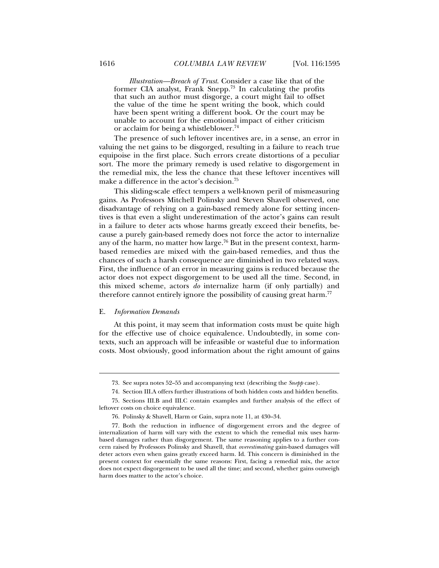*Illustration—Breach of Trust*. Consider a case like that of the former CIA analyst, Frank Snepp.73 In calculating the profits that such an author must disgorge, a court might fail to offset the value of the time he spent writing the book, which could have been spent writing a different book. Or the court may be unable to account for the emotional impact of either criticism or acclaim for being a whistleblower.74

The presence of such leftover incentives are, in a sense, an error in valuing the net gains to be disgorged, resulting in a failure to reach true equipoise in the first place. Such errors create distortions of a peculiar sort. The more the primary remedy is used relative to disgorgement in the remedial mix, the less the chance that these leftover incentives will make a difference in the actor's decision.75

This sliding-scale effect tempers a well-known peril of mismeasuring gains. As Professors Mitchell Polinsky and Steven Shavell observed, one disadvantage of relying on a gain-based remedy alone for setting incentives is that even a slight underestimation of the actor's gains can result in a failure to deter acts whose harms greatly exceed their benefits, because a purely gain-based remedy does not force the actor to internalize any of the harm, no matter how large.<sup>76</sup> But in the present context, harmbased remedies are mixed with the gain-based remedies, and thus the chances of such a harsh consequence are diminished in two related ways. First, the influence of an error in measuring gains is reduced because the actor does not expect disgorgement to be used all the time. Second, in this mixed scheme, actors *do* internalize harm (if only partially) and therefore cannot entirely ignore the possibility of causing great harm.<sup>77</sup>

# E. *Information Demands*

l

At this point, it may seem that information costs must be quite high for the effective use of choice equivalence. Undoubtedly, in some contexts, such an approach will be infeasible or wasteful due to information costs. Most obviously, good information about the right amount of gains

 <sup>73.</sup> See supra notes 52–55 and accompanying text (describing the *Snepp* case).

 <sup>74.</sup> Section III.A offers further illustrations of both hidden costs and hidden benefits.

 <sup>75.</sup> Sections III.B and III.C contain examples and further analysis of the effect of leftover costs on choice equivalence.

 <sup>76.</sup> Polinsky & Shavell, Harm or Gain, supra note 11, at 430–34.

 <sup>77.</sup> Both the reduction in influence of disgorgement errors and the degree of internalization of harm will vary with the extent to which the remedial mix uses harmbased damages rather than disgorgement. The same reasoning applies to a further concern raised by Professors Polinsky and Shavell, that *overestimating* gain-based damages will deter actors even when gains greatly exceed harm. Id. This concern is diminished in the present context for essentially the same reasons: First, facing a remedial mix, the actor does not expect disgorgement to be used all the time; and second, whether gains outweigh harm does matter to the actor's choice.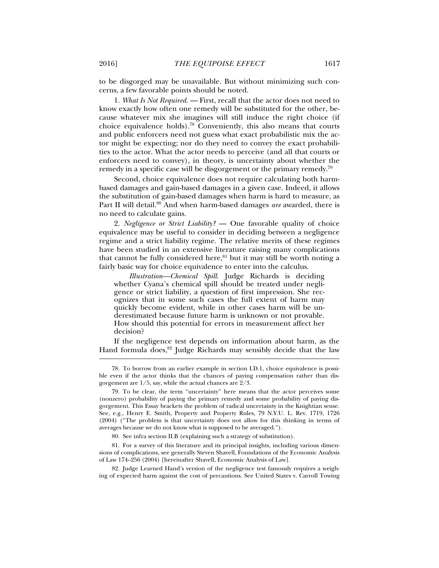to be disgorged may be unavailable. But without minimizing such concerns, a few favorable points should be noted.

1. *What Is Not Required.* — First, recall that the actor does not need to know exactly how often one remedy will be substituted for the other, because whatever mix she imagines will still induce the right choice (if choice equivalence holds).<sup>78</sup> Conveniently, this also means that courts and public enforcers need not guess what exact probabilistic mix the actor might be expecting; nor do they need to convey the exact probabilities to the actor. What the actor needs to perceive (and all that courts or enforcers need to convey), in theory, is uncertainty about whether the remedy in a specific case will be disgorgement or the primary remedy.79

Second, choice equivalence does not require calculating both harmbased damages and gain-based damages in a given case. Indeed, it allows the substitution of gain-based damages when harm is hard to measure, as Part II will detail.80 And when harm-based damages *are* awarded, there is no need to calculate gains.

2. *Negligence or Strict Liability?* — One favorable quality of choice equivalence may be useful to consider in deciding between a negligence regime and a strict liability regime. The relative merits of these regimes have been studied in an extensive literature raising many complications that cannot be fully considered here, $81$  but it may still be worth noting a fairly basic way for choice equivalence to enter into the calculus.

*Illustration—Chemical Spill*. Judge Richards is deciding whether Cyana's chemical spill should be treated under negligence or strict liability, a question of first impression. She recognizes that in some such cases the full extent of harm may quickly become evident, while in other cases harm will be underestimated because future harm is unknown or not provable. How should this potential for errors in measurement affect her decision?

If the negligence test depends on information about harm, as the Hand formula does, $82$  Judge Richards may sensibly decide that the law

80. See infra section II.B (explaining such a strategy of substitution).

 81. For a survey of this literature and its principal insights, including various dimensions of complications, see generally Steven Shavell, Foundations of the Economic Analysis of Law 174–256 (2004) [hereinafter Shavell, Economic Analysis of Law].

 82. Judge Learned Hand's version of the negligence test famously requires a weighing of expected harm against the cost of precautions. See United States v. Carroll Towing

 <sup>78.</sup> To borrow from an earlier example in section I.D.1, choice equivalence is possible even if the actor thinks that the chances of paying compensation rather than disgorgement are 1/5, say, while the actual chances are 2/3.

 <sup>79.</sup> To be clear, the term "uncertainty" here means that the actor perceives some (nonzero) probability of paying the primary remedy and some probability of paying disgorgement. This Essay brackets the problem of radical uncertainty in the Knightian sense. See, e.g., Henry E. Smith, Property and Property Rules, 79 N.Y.U. L. Rev. 1719, 1726 (2004) ("The problem is that uncertainty does not allow for this thinking in terms of averages because we do not know what is supposed to be averaged.").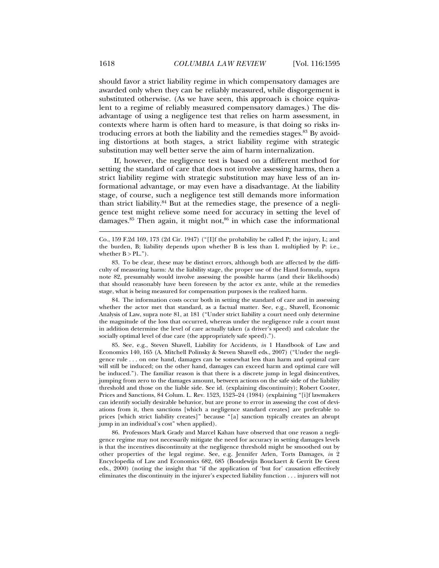should favor a strict liability regime in which compensatory damages are awarded only when they can be reliably measured, while disgorgement is substituted otherwise. (As we have seen, this approach is choice equivalent to a regime of reliably measured compensatory damages.) The disadvantage of using a negligence test that relies on harm assessment, in contexts where harm is often hard to measure, is that doing so risks introducing errors at both the liability and the remedies stages.<sup>83</sup> By avoiding distortions at both stages, a strict liability regime with strategic substitution may well better serve the aim of harm internalization.

If, however, the negligence test is based on a different method for setting the standard of care that does not involve assessing harms, then a strict liability regime with strategic substitution may have less of an informational advantage, or may even have a disadvantage. At the liability stage, of course, such a negligence test still demands more information than strict liability. $84$  But at the remedies stage, the presence of a negligence test might relieve some need for accuracy in setting the level of damages. $85$  Then again, it might not, $86$  in which case the informational

 84. The information costs occur both in setting the standard of care and in assessing whether the actor met that standard, as a factual matter. See, e.g., Shavell, Economic Analysis of Law, supra note 81, at 181 ("Under strict liability a court need only determine the magnitude of the loss that occurred, whereas under the negligence rule a court must in addition determine the level of care actually taken (a driver's speed) and calculate the socially optimal level of due care (the appropriately safe speed).").

 85. See, e.g., Steven Shavell, Liability for Accidents, *in* 1 Handbook of Law and Economics 140, 165 (A. Mitchell Polinsky & Steven Shavell eds., 2007) ("Under the negligence rule . . . on one hand, damages can be somewhat less than harm and optimal care will still be induced; on the other hand, damages can exceed harm and optimal care will be induced."). The familiar reason is that there is a discrete jump in legal disincentives, jumping from zero to the damages amount, between actions on the safe side of the liability threshold and those on the liable side. See id. (explaining discontinuity); Robert Cooter, Prices and Sanctions, 84 Colum. L. Rev. 1523, 1523–24 (1984) (explaining "[i]f lawmakers can identify socially desirable behavior, but are prone to error in assessing the cost of deviations from it, then sanctions [which a negligence standard creates] are preferable to prices [which strict liability creates]" because "[a] sanction typically creates an abrupt jump in an individual's cost" when applied).

 86. Professors Mark Grady and Marcel Kahan have observed that one reason a negligence regime may not necessarily mitigate the need for accuracy in setting damages levels is that the incentives discontinuity at the negligence threshold might be smoothed out by other properties of the legal regime. See, e.g. Jennifer Arlen, Torts Damages, *in* 2 Encyclopedia of Law and Economics 682, 685 (Boudewijn Bouckaert & Gerrit De Geest eds., 2000) (noting the insight that "if the application of 'but for' causation effectively eliminates the discontinuity in the injurer's expected liability function . . . injurers will not

Co., 159 F.2d 169, 173 (2d Cir. 1947) ("[I]f the probability be called P; the injury, L; and the burden, B; liability depends upon whether B is less than L multiplied by P: i.e., whether  $B > PL$ .").

 <sup>83.</sup> To be clear, these may be distinct errors, although both are affected by the difficulty of measuring harm: At the liability stage, the proper use of the Hand formula, supra note 82, presumably would involve assessing the possible harms (and their likelihoods) that should reasonably have been foreseen by the actor ex ante, while at the remedies stage, what is being measured for compensation purposes is the realized harm.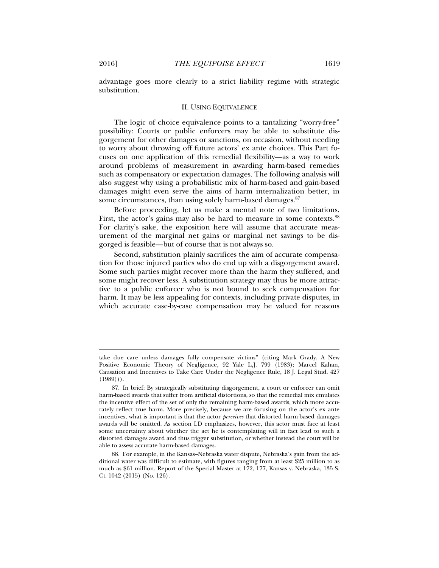advantage goes more clearly to a strict liability regime with strategic substitution.

#### II. USING EQUIVALENCE

The logic of choice equivalence points to a tantalizing "worry-free" possibility: Courts or public enforcers may be able to substitute disgorgement for other damages or sanctions, on occasion, without needing to worry about throwing off future actors' ex ante choices. This Part focuses on one application of this remedial flexibility—as a way to work around problems of measurement in awarding harm-based remedies such as compensatory or expectation damages. The following analysis will also suggest why using a probabilistic mix of harm-based and gain-based damages might even serve the aims of harm internalization better, in some circumstances, than using solely harm-based damages.<sup>87</sup>

Before proceeding, let us make a mental note of two limitations. First, the actor's gains may also be hard to measure in some contexts.<sup>88</sup> For clarity's sake, the exposition here will assume that accurate measurement of the marginal net gains or marginal net savings to be disgorged is feasible—but of course that is not always so.

Second, substitution plainly sacrifices the aim of accurate compensation for those injured parties who do end up with a disgorgement award. Some such parties might recover more than the harm they suffered, and some might recover less. A substitution strategy may thus be more attractive to a public enforcer who is not bound to seek compensation for harm. It may be less appealing for contexts, including private disputes, in which accurate case-by-case compensation may be valued for reasons

take due care unless damages fully compensate victims" (citing Mark Grady, A New Positive Economic Theory of Negligence, 92 Yale L.J. 799 (1983); Marcel Kahan, Causation and Incentives to Take Care Under the Negligence Rule, 18 J. Legal Stud. 427  $(1989)$ ).

 <sup>87.</sup> In brief: By strategically substituting disgorgement, a court or enforcer can omit harm-based awards that suffer from artificial distortions, so that the remedial mix emulates the incentive effect of the set of only the remaining harm-based awards, which more accurately reflect true harm. More precisely, because we are focusing on the actor's ex ante incentives, what is important is that the actor *perceives* that distorted harm-based damages awards will be omitted. As section I.D emphasizes, however, this actor must face at least some uncertainty about whether the act he is contemplating will in fact lead to such a distorted damages award and thus trigger substitution, or whether instead the court will be able to assess accurate harm-based damages.

 <sup>88.</sup> For example, in the Kansas–Nebraska water dispute, Nebraska's gain from the additional water was difficult to estimate, with figures ranging from at least \$25 million to as much as \$61 million. Report of the Special Master at 172, 177, Kansas v. Nebraska, 135 S. Ct. 1042 (2015) (No. 126).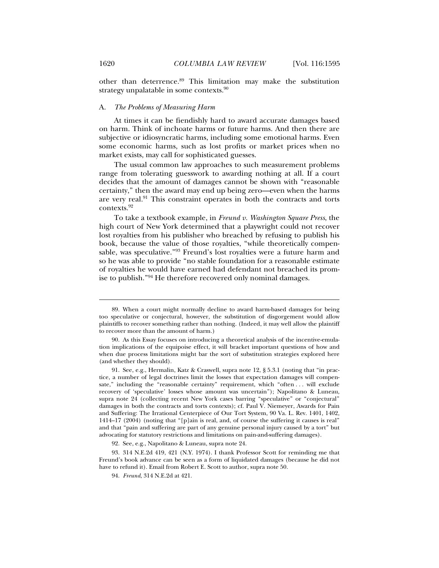other than deterrence.89 This limitation may make the substitution strategy unpalatable in some contexts.<sup>90</sup>

### A. *The Problems of Measuring Harm*

At times it can be fiendishly hard to award accurate damages based on harm. Think of inchoate harms or future harms. And then there are subjective or idiosyncratic harms, including some emotional harms. Even some economic harms, such as lost profits or market prices when no market exists, may call for sophisticated guesses.

The usual common law approaches to such measurement problems range from tolerating guesswork to awarding nothing at all. If a court decides that the amount of damages cannot be shown with "reasonable certainty," then the award may end up being zero—even when the harms are very real.<sup>91</sup> This constraint operates in both the contracts and torts contexts.92

To take a textbook example, in *Freund v. Washington Square Press*, the high court of New York determined that a playwright could not recover lost royalties from his publisher who breached by refusing to publish his book, because the value of those royalties, "while theoretically compensable, was speculative."93 Freund's lost royalties were a future harm and so he was able to provide "no stable foundation for a reasonable estimate of royalties he would have earned had defendant not breached its promise to publish."94 He therefore recovered only nominal damages.

j

 <sup>89.</sup> When a court might normally decline to award harm-based damages for being too speculative or conjectural, however, the substitution of disgorgement would allow plaintiffs to recover something rather than nothing. (Indeed, it may well allow the plaintiff to recover more than the amount of harm.)

 <sup>90.</sup> As this Essay focuses on introducing a theoretical analysis of the incentive-emulation implications of the equipoise effect, it will bracket important questions of how and when due process limitations might bar the sort of substitution strategies explored here (and whether they should).

 <sup>91.</sup> See, e.g., Hermalin, Katz & Craswell, supra note 12, § 5.3.1 (noting that "in practice, a number of legal doctrines limit the losses that expectation damages will compensate," including the "reasonable certainty" requirement, which "often . . . will exclude recovery of 'speculative' losses whose amount was uncertain"); Napolitano & Luneau, supra note 24 (collecting recent New York cases barring "speculative" or "conjectural" damages in both the contracts and torts contexts); cf. Paul V. Niemeyer, Awards for Pain and Suffering: The Irrational Centerpiece of Our Tort System, 90 Va. L. Rev. 1401, 1402, 1414–17 (2004) (noting that "[p]ain is real, and, of course the suffering it causes is real" and that "pain and suffering are part of any genuine personal injury caused by a tort" but advocating for statutory restrictions and limitations on pain-and-suffering damages).

 <sup>92.</sup> See, e.g., Napolitano & Luneau, supra note 24.

 <sup>93. 314</sup> N.E.2d 419, 421 (N.Y. 1974). I thank Professor Scott for reminding me that Freund's book advance can be seen as a form of liquidated damages (because he did not have to refund it). Email from Robert E. Scott to author, supra note 50.

 <sup>94.</sup> *Freund*, 314 N.E.2d at 421.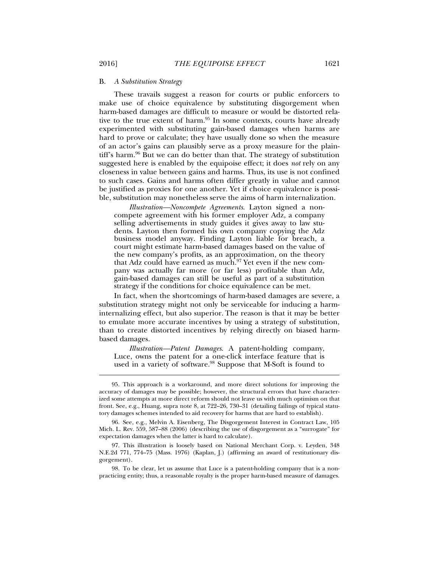#### B. *A Substitution Strategy*

These travails suggest a reason for courts or public enforcers to make use of choice equivalence by substituting disgorgement when harm-based damages are difficult to measure or would be distorted relative to the true extent of harm.<sup>95</sup> In some contexts, courts have already experimented with substituting gain-based damages when harms are hard to prove or calculate; they have usually done so when the measure of an actor's gains can plausibly serve as a proxy measure for the plaintiff's harm.<sup>96</sup> But we can do better than that. The strategy of substitution suggested here is enabled by the equipoise effect; it does *not* rely on any closeness in value between gains and harms. Thus, its use is not confined to such cases. Gains and harms often differ greatly in value and cannot be justified as proxies for one another. Yet if choice equivalence is possible, substitution may nonetheless serve the aims of harm internalization.

*Illustration—Noncompete Agreements*. Layton signed a noncompete agreement with his former employer Adz, a company selling advertisements in study guides it gives away to law students. Layton then formed his own company copying the Adz business model anyway. Finding Layton liable for breach, a court might estimate harm-based damages based on the value of the new company's profits, as an approximation, on the theory that Adz could have earned as much.97 Yet even if the new company was actually far more (or far less) profitable than Adz, gain-based damages can still be useful as part of a substitution strategy if the conditions for choice equivalence can be met.

In fact, when the shortcomings of harm-based damages are severe, a substitution strategy might not only be serviceable for inducing a harminternalizing effect, but also superior. The reason is that it may be better to emulate more accurate incentives by using a strategy of substitution, than to create distorted incentives by relying directly on biased harmbased damages.

*Illustration—Patent Damages*. A patent-holding company, Luce, owns the patent for a one-click interface feature that is used in a variety of software.<sup>98</sup> Suppose that M-Soft is found to

 <sup>95.</sup> This approach is a workaround, and more direct solutions for improving the accuracy of damages may be possible; however, the structural errors that have characterized some attempts at more direct reform should not leave us with much optimism on that front. See, e.g., Huang, supra note 8, at 722–26, 730–31 (detailing failings of typical statutory damages schemes intended to aid recovery for harms that are hard to establish).

 <sup>96.</sup> See, e.g., Melvin A. Eisenberg, The Disgorgement Interest in Contract Law, 105 Mich. L. Rev. 559, 587–88 (2006) (describing the use of disgorgement as a "surrogate" for expectation damages when the latter is hard to calculate).

 <sup>97.</sup> This illustration is loosely based on National Merchant Corp. v. Leyden, 348 N.E.2d 771, 774–75 (Mass. 1976) (Kaplan, J.) (affirming an award of restitutionary disgorgement).

 <sup>98.</sup> To be clear, let us assume that Luce is a patent-holding company that is a nonpracticing entity; thus, a reasonable royalty is the proper harm-based measure of damages.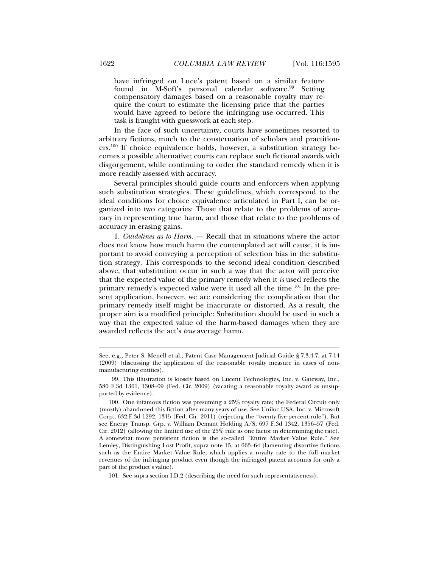have infringed on Luce's patent based on a similar feature found in M-Soft's personal calendar software.<sup>99</sup> Setting compensatory damages based on a reasonable royalty may require the court to estimate the licensing price that the parties would have agreed to before the infringing use occurred. This task is fraught with guesswork at each step.

In the face of such uncertainty, courts have sometimes resorted to arbitrary fictions, much to the consternation of scholars and practitioners.<sup>100</sup> If choice equivalence holds, however, a substitution strategy becomes a possible alternative; courts can replace such fictional awards with disgorgement, while continuing to order the standard remedy when it is more readily assessed with accuracy.

Several principles should guide courts and enforcers when applying such substitution strategies. These guidelines, which correspond to the ideal conditions for choice equivalence articulated in Part I, can be organized into two categories: Those that relate to the problems of accuracy in representing true harm, and those that relate to the problems of accuracy in erasing gains.

1. *Guidelines as to Harm.* — Recall that in situations where the actor does not know how much harm the contemplated act will cause, it is important to avoid conveying a perception of selection bias in the substitution strategy. This corresponds to the second ideal condition described above, that substitution occur in such a way that the actor will perceive that the expected value of the primary remedy when it *is* used reflects the primary remedy's expected value were it used all the time.101 In the present application, however, we are considering the complication that the primary remedy itself might be inaccurate or distorted. As a result, the proper aim is a modified principle: Substitution should be used in such a way that the expected value of the harm-based damages when they are awarded reflects the act's *true* average harm.

101. See supra section I.D.2 (describing the need for such representativeness).

See, e.g., Peter S. Menell et al., Patent Case Management Judicial Guide § 7.3.4.7, at 7-14 (2009) (discussing the application of the reasonable royalty measure in cases of nonmanufacturing entities).

 <sup>99.</sup> This illustration is loosely based on Lucent Technologies, Inc. v. Gateway, Inc., 580 F.3d 1301, 1308–09 (Fed. Cir. 2009) (vacating a reasonable royalty award as unsupported by evidence).

 <sup>100.</sup> One infamous fiction was presuming a 25% royalty rate; the Federal Circuit only (mostly) abandoned this fiction after many years of use. See Uniloc USA, Inc. v. Microsoft Corp., 632 F.3d 1292, 1315 (Fed. Cir. 2011) (rejecting the "twenty-five-percent rule"). But see Energy Transp. Grp. v. William Demant Holding A/S, 697 F.3d 1342, 1356–57 (Fed. Cir. 2012) (allowing the limited use of the 25% rule as one factor in determining the rate). A somewhat more persistent fiction is the so-called "Entire Market Value Rule." See Lemley, Distinguishing Lost Profit, supra note 15, at 663–64 (lamenting distortive fictions such as the Entire Market Value Rule, which applies a royalty rate to the full market revenues of the infringing product even though the infringed patent accounts for only a part of the product's value).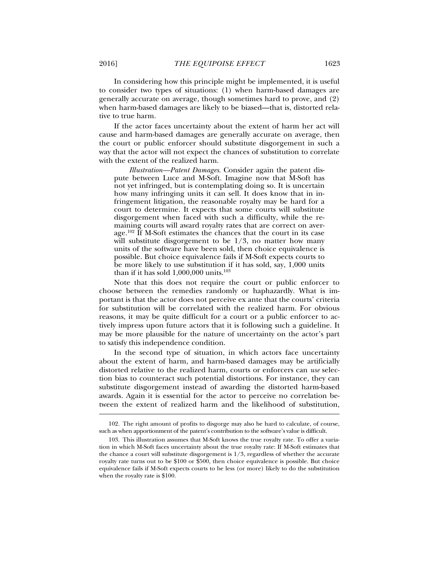In considering how this principle might be implemented, it is useful to consider two types of situations: (1) when harm-based damages are generally accurate on average, though sometimes hard to prove, and (2) when harm-based damages are likely to be biased—that is, distorted relative to true harm.

If the actor faces uncertainty about the extent of harm her act will cause and harm-based damages are generally accurate on average, then the court or public enforcer should substitute disgorgement in such a way that the actor will not expect the chances of substitution to correlate with the extent of the realized harm.

*Illustration—Patent Damages*. Consider again the patent dispute between Luce and M-Soft. Imagine now that M-Soft has not yet infringed, but is contemplating doing so. It is uncertain how many infringing units it can sell. It does know that in infringement litigation, the reasonable royalty may be hard for a court to determine. It expects that some courts will substitute disgorgement when faced with such a difficulty, while the remaining courts will award royalty rates that are correct on average.<sup>102</sup> If M-Soft estimates the chances that the court in its case will substitute disgorgement to be  $1/3$ , no matter how many units of the software have been sold, then choice equivalence is possible. But choice equivalence fails if M-Soft expects courts to be more likely to use substitution if it has sold, say, 1,000 units than if it has sold 1,000,000 units.103

Note that this does not require the court or public enforcer to choose between the remedies randomly or haphazardly. What is important is that the actor does not perceive ex ante that the courts' criteria for substitution will be correlated with the realized harm. For obvious reasons, it may be quite difficult for a court or a public enforcer to actively impress upon future actors that it is following such a guideline. It may be more plausible for the nature of uncertainty on the actor's part to satisfy this independence condition.

In the second type of situation, in which actors face uncertainty about the extent of harm, and harm-based damages may be artificially distorted relative to the realized harm, courts or enforcers can *use* selection bias to counteract such potential distortions. For instance, they can substitute disgorgement instead of awarding the distorted harm-based awards. Again it is essential for the actor to perceive no correlation between the extent of realized harm and the likelihood of substitution,

 <sup>102.</sup> The right amount of profits to disgorge may also be hard to calculate, of course, such as when apportionment of the patent's contribution to the software's value is difficult.

 <sup>103.</sup> This illustration assumes that M-Soft knows the true royalty rate. To offer a variation in which M-Soft faces uncertainty about the true royalty rate: If M-Soft estimates that the chance a court will substitute disgorgement is  $1/3$ , regardless of whether the accurate royalty rate turns out to be \$100 or \$500, then choice equivalence is possible. But choice equivalence fails if M-Soft expects courts to be less (or more) likely to do the substitution when the royalty rate is \$100.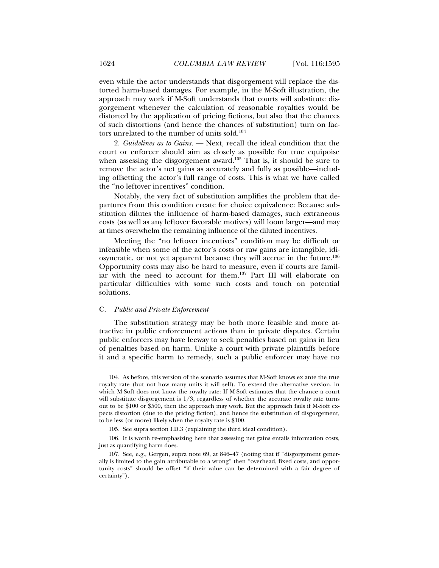even while the actor understands that disgorgement will replace the distorted harm-based damages. For example, in the M-Soft illustration, the approach may work if M-Soft understands that courts will substitute disgorgement whenever the calculation of reasonable royalties would be distorted by the application of pricing fictions, but also that the chances of such distortions (and hence the chances of substitution) turn on factors unrelated to the number of units sold.104

2. *Guidelines as to Gains.* — Next, recall the ideal condition that the court or enforcer should aim as closely as possible for true equipoise when assessing the disgorgement award.<sup>105</sup> That is, it should be sure to remove the actor's net gains as accurately and fully as possible—including offsetting the actor's full range of costs. This is what we have called the "no leftover incentives" condition.

Notably, the very fact of substitution amplifies the problem that departures from this condition create for choice equivalence: Because substitution dilutes the influence of harm-based damages, such extraneous costs (as well as any leftover favorable motives) will loom larger—and may at times overwhelm the remaining influence of the diluted incentives.

Meeting the "no leftover incentives" condition may be difficult or infeasible when some of the actor's costs or raw gains are intangible, idiosyncratic, or not yet apparent because they will accrue in the future.106 Opportunity costs may also be hard to measure, even if courts are familiar with the need to account for them.107 Part III will elaborate on particular difficulties with some such costs and touch on potential solutions.

#### C. *Public and Private Enforcement*

l

The substitution strategy may be both more feasible and more attractive in public enforcement actions than in private disputes. Certain public enforcers may have leeway to seek penalties based on gains in lieu of penalties based on harm. Unlike a court with private plaintiffs before it and a specific harm to remedy, such a public enforcer may have no

 <sup>104.</sup> As before, this version of the scenario assumes that M-Soft knows ex ante the true royalty rate (but not how many units it will sell). To extend the alternative version, in which M-Soft does not know the royalty rate: If M-Soft estimates that the chance a court will substitute disgorgement is  $1/3$ , regardless of whether the accurate royalty rate turns out to be \$100 or \$500, then the approach may work. But the approach fails if M-Soft expects distortion (due to the pricing fiction), and hence the substitution of disgorgement, to be less (or more) likely when the royalty rate is \$100.

 <sup>105.</sup> See supra section I.D.3 (explaining the third ideal condition).

 <sup>106.</sup> It is worth re-emphasizing here that assessing net gains entails information costs, just as quantifying harm does.

 <sup>107.</sup> See, e.g., Gergen, supra note 69, at 846–47 (noting that if "disgorgement generally is limited to the gain attributable to a wrong" then "overhead, fixed costs, and opportunity costs" should be offset "if their value can be determined with a fair degree of certainty").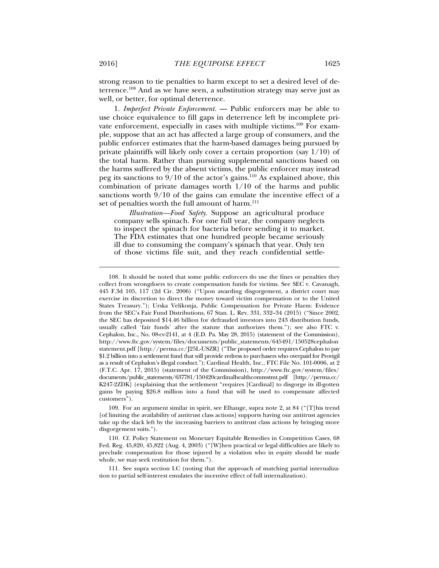strong reason to tie penalties to harm except to set a desired level of deterrence.108 And as we have seen, a substitution strategy may serve just as well, or better, for optimal deterrence.

1. *Imperfect Private Enforcement.* — Public enforcers may be able to use choice equivalence to fill gaps in deterrence left by incomplete private enforcement, especially in cases with multiple victims.<sup>109</sup> For example, suppose that an act has affected a large group of consumers, and the public enforcer estimates that the harm-based damages being pursued by private plaintiffs will likely only cover a certain proportion (say  $1/10$ ) of the total harm. Rather than pursuing supplemental sanctions based on the harms suffered by the absent victims, the public enforcer may instead peg its sanctions to  $9/10$  of the actor's gains.<sup>110</sup> As explained above, this combination of private damages worth 1/10 of the harms and public sanctions worth  $9/10$  of the gains can emulate the incentive effect of a set of penalties worth the full amount of harm.<sup>111</sup>

*Illustration—Food Safety*. Suppose an agricultural produce company sells spinach. For one full year, the company neglects to inspect the spinach for bacteria before sending it to market. The FDA estimates that one hundred people became seriously ill due to consuming the company's spinach that year. Only ten of those victims file suit, and they reach confidential settle-

 111. See supra section I.C (noting that the approach of matching partial internalization to partial self-interest emulates the incentive effect of full internalization).

 <sup>108.</sup> It should be noted that some public enforcers do use the fines or penalties they collect from wrongdoers to create compensation funds for victims. See SEC v. Cavanagh, 445 F.3d 105, 117 (2d Cir. 2006) ("Upon awarding disgorgement, a district court may exercise its discretion to direct the money toward victim compensation or to the United States Treasury."); Urska Velikonja, Public Compensation for Private Harm: Evidence from the SEC's Fair Fund Distributions, 67 Stan. L. Rev. 331, 332–34 (2015) ("Since 2002, the SEC has deposited \$14.46 billion for defrauded investors into 243 distribution funds, usually called 'fair funds' after the statute that authorizes them."); see also FTC v. Cephalon, Inc., No. 08-cv-2141, at 4 (E.D. Pa. May 28, 2015) (statement of the Commission), http://www.ftc.gov/system/files/documents/public\_statements/645491/150528cephalon statement.pdf [http://perma.cc/J25L-USZR] ("The proposed order requires Cephalon to pay \$1.2 billion into a settlement fund that will provide redress to purchasers who overpaid for Provigil as a result of Cephalon's illegal conduct."); Cardinal Health, Inc., FTC File No. 101-0006, at 2 (F.T.C. Apr. 17, 2015) (statement of the Commission), http://www.ftc.gov/system/files/ documents/public\_statements/637781/150420cardinalhealthcommstmt.pdf [http://perma.cc/ K247-2ZDK] (explaining that the settlement "requires [Cardinal] to disgorge its ill-gotten gains by paying \$26.8 million into a fund that will be used to compensate affected customers").

 <sup>109.</sup> For an argument similar in spirit, see Elhauge, supra note 2, at 84 ("[T]his trend [of limiting the availability of antitrust class actions] supports having our antitrust agencies take up the slack left by the increasing barriers to antitrust class actions by bringing more disgorgement suits.").

 <sup>110.</sup> Cf. Policy Statement on Monetary Equitable Remedies in Competition Cases, 68 Fed. Reg. 45,820, 45,822 (Aug. 4, 2003) ("[W]hen practical or legal difficulties are likely to preclude compensation for those injured by a violation who in equity should be made whole, we may seek restitution for them.").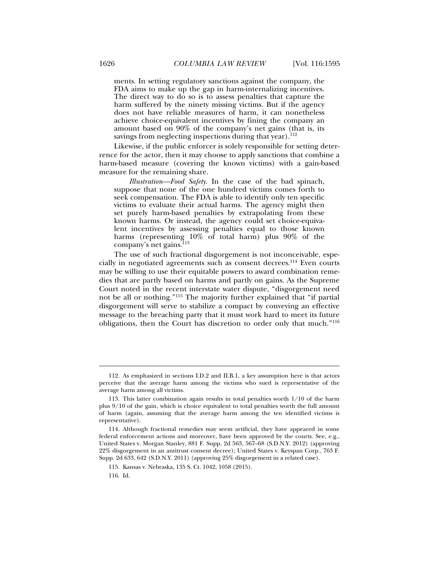ments. In setting regulatory sanctions against the company, the FDA aims to make up the gap in harm-internalizing incentives. The direct way to do so is to assess penalties that capture the harm suffered by the ninety missing victims. But if the agency does not have reliable measures of harm, it can nonetheless achieve choice-equivalent incentives by fining the company an amount based on 90% of the company's net gains (that is, its savings from neglecting inspections during that year). $^{112}$ 

Likewise, if the public enforcer is solely responsible for setting deterrence for the actor, then it may choose to apply sanctions that combine a harm-based measure (covering the known victims) with a gain-based measure for the remaining share.

*Illustration—Food Safety*. In the case of the bad spinach, suppose that none of the one hundred victims comes forth to seek compensation. The FDA is able to identify only ten specific victims to evaluate their actual harms. The agency might then set purely harm-based penalties by extrapolating from these known harms. Or instead, the agency could set choice-equivalent incentives by assessing penalties equal to those known harms (representing 10% of total harm) plus 90% of the company's net gains.<sup>113</sup>

The use of such fractional disgorgement is not inconceivable, especially in negotiated agreements such as consent decrees.114 Even courts may be willing to use their equitable powers to award combination remedies that are partly based on harms and partly on gains. As the Supreme Court noted in the recent interstate water dispute, "disgorgement need not be all or nothing."115 The majority further explained that "if partial disgorgement will serve to stabilize a compact by conveying an effective message to the breaching party that it must work hard to meet its future obligations, then the Court has discretion to order only that much."116

 <sup>112.</sup> As emphasized in sections I.D.2 and II.B.1, a key assumption here is that actors perceive that the average harm among the victims who sued is representative of the average harm among all victims.

 <sup>113.</sup> This latter combination again results in total penalties worth 1/10 of the harm plus 9/10 of the gain, which is choice equivalent to total penalties worth the full amount of harm (again, assuming that the average harm among the ten identified victims is representative).

 <sup>114.</sup> Although fractional remedies may seem artificial, they have appeared in some federal enforcement actions and moreover, have been approved by the courts. See, e.g., United States v. Morgan Stanley, 881 F. Supp. 2d 563, 567–68 (S.D.N.Y. 2012) (approving 22% disgorgement in an antitrust consent decree); United States v. Keyspan Corp., 763 F. Supp. 2d 633, 642 (S.D.N.Y. 2011) (approving 25% disgorgement in a related case).

 <sup>115.</sup> Kansas v. Nebraska, 135 S. Ct. 1042, 1058 (2015).

 <sup>116.</sup> Id.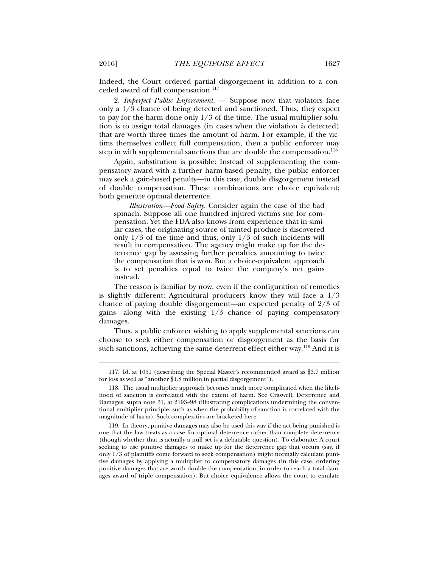Indeed, the Court ordered partial disgorgement in addition to a conceded award of full compensation.<sup>117</sup>

2. *Imperfect Public Enforcement.* — Suppose now that violators face only a 1/3 chance of being detected and sanctioned. Thus, they expect to pay for the harm done only 1/3 of the time. The usual multiplier solution is to assign total damages (in cases when the violation *is* detected) that are worth three times the amount of harm. For example, if the victims themselves collect full compensation, then a public enforcer may step in with supplemental sanctions that are double the compensation.<sup>118</sup>

Again, substitution is possible: Instead of supplementing the compensatory award with a further harm-based penalty, the public enforcer may seek a gain-based penalty—in this case, double disgorgement instead of double compensation. These combinations are choice equivalent; both generate optimal deterrence.

*Illustration—Food Safety*. Consider again the case of the bad spinach. Suppose all one hundred injured victims sue for compensation. Yet the FDA also knows from experience that in similar cases, the originating source of tainted produce is discovered only 1/3 of the time and thus, only 1/3 of such incidents will result in compensation. The agency might make up for the deterrence gap by assessing further penalties amounting to twice the compensation that is won. But a choice-equivalent approach is to set penalties equal to twice the company's net gains instead.

The reason is familiar by now, even if the configuration of remedies is slightly different: Agricultural producers know they will face a 1/3 chance of paying double disgorgement*—*an expected penalty of 2/3 of gains*—*along with the existing 1/3 chance of paying compensatory damages.

Thus, a public enforcer wishing to apply supplemental sanctions can choose to seek either compensation or disgorgement as the basis for such sanctions, achieving the same deterrent effect either way.<sup>119</sup> And it is

 <sup>117.</sup> Id. at 1051 (describing the Special Master's recommended award as \$3.7 million for loss as well as "another \$1.8 million in partial disgorgement").

 <sup>118.</sup> The usual multiplier approach becomes much more complicated when the likelihood of sanction is correlated with the extent of harm. See Craswell, Deterrence and Damages, supra note 31, at 2193–98 (illustrating complications undermining the conventional multiplier principle, such as when the probability of sanction is correlated with the magnitude of harm). Such complexities are bracketed here.

 <sup>119.</sup> In theory, punitive damages may also be used this way if the act being punished is one that the law treats as a case for optimal deterrence rather than complete deterrence (though whether that is actually a null set is a debatable question). To elaborate: A court seeking to use punitive damages to make up for the deterrence gap that occurs (say, if only 1/3 of plaintiffs come forward to seek compensation) might normally calculate punitive damages by applying a multiplier to compensatory damages (in this case, ordering punitive damages that are worth double the compensation, in order to reach a total damages award of triple compensation). But choice equivalence allows the court to emulate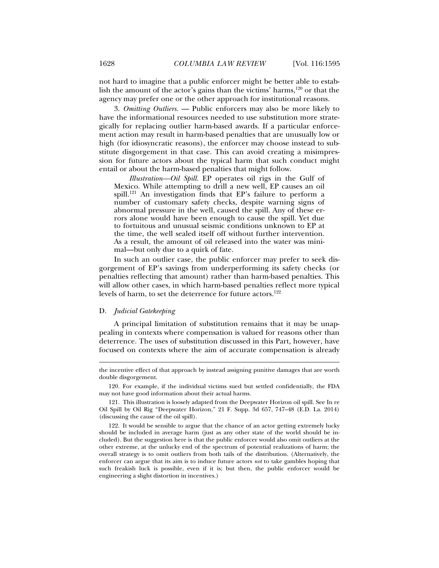not hard to imagine that a public enforcer might be better able to establish the amount of the actor's gains than the victims' harms,<sup>120</sup> or that the agency may prefer one or the other approach for institutional reasons.

3. *Omitting Outliers.* — Public enforcers may also be more likely to have the informational resources needed to use substitution more strategically for replacing outlier harm-based awards. If a particular enforcement action may result in harm-based penalties that are unusually low or high (for idiosyncratic reasons), the enforcer may choose instead to substitute disgorgement in that case. This can avoid creating a misimpression for future actors about the typical harm that such conduct might entail or about the harm-based penalties that might follow.

*Illustration—Oil Spill.* EP operates oil rigs in the Gulf of Mexico. While attempting to drill a new well, EP causes an oil spill.<sup>121</sup> An investigation finds that EP's failure to perform a number of customary safety checks, despite warning signs of abnormal pressure in the well, caused the spill. Any of these errors alone would have been enough to cause the spill. Yet due to fortuitous and unusual seismic conditions unknown to EP at the time, the well sealed itself off without further intervention. As a result, the amount of oil released into the water was minimal—but only due to a quirk of fate.

In such an outlier case, the public enforcer may prefer to seek disgorgement of EP's savings from underperforming its safety checks (or penalties reflecting that amount) rather than harm-based penalties. This will allow other cases, in which harm-based penalties reflect more typical levels of harm, to set the deterrence for future actors.<sup>122</sup>

# D. *Judicial Gatekeeping*

l

A principal limitation of substitution remains that it may be unappealing in contexts where compensation is valued for reasons other than deterrence. The uses of substitution discussed in this Part, however, have focused on contexts where the aim of accurate compensation is already

the incentive effect of that approach by instead assigning punitive damages that are worth double disgorgement.

 <sup>120.</sup> For example, if the individual victims sued but settled confidentially, the FDA may not have good information about their actual harms.

 <sup>121.</sup> This illustration is loosely adapted from the Deepwater Horizon oil spill. See In re Oil Spill by Oil Rig "Deepwater Horizon," 21 F. Supp. 3d 657, 747–48 (E.D. La. 2014) (discussing the cause of the oil spill).

 <sup>122.</sup> It would be sensible to argue that the chance of an actor getting extremely lucky should be included in average harm (just as any other state of the world should be included). But the suggestion here is that the public enforcer would also omit outliers at the other extreme, at the unlucky end of the spectrum of potential realizations of harm; the overall strategy is to omit outliers from both tails of the distribution. (Alternatively, the enforcer can argue that its aim is to induce future actors *not* to take gambles hoping that such freakish luck is possible, even if it is; but then, the public enforcer would be engineering a slight distortion in incentives.)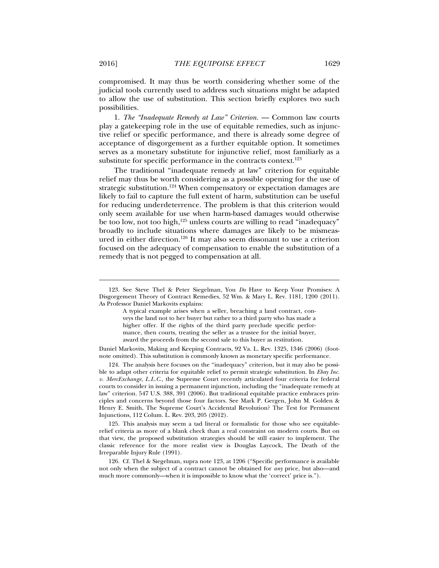compromised. It may thus be worth considering whether some of the judicial tools currently used to address such situations might be adapted to allow the use of substitution. This section briefly explores two such possibilities.

1. *The "Inadequate Remedy at Law" Criterion.* — Common law courts play a gatekeeping role in the use of equitable remedies, such as injunctive relief or specific performance, and there is already some degree of acceptance of disgorgement as a further equitable option. It sometimes serves as a monetary substitute for injunctive relief, most familiarly as a substitute for specific performance in the contracts context. $123$ 

The traditional "inadequate remedy at law" criterion for equitable relief may thus be worth considering as a possible opening for the use of strategic substitution.124 When compensatory or expectation damages are likely to fail to capture the full extent of harm, substitution can be useful for reducing underdeterrence. The problem is that this criterion would only seem available for use when harm-based damages would otherwise be too low, not too high,<sup>125</sup> unless courts are willing to read "inadequacy" broadly to include situations where damages are likely to be mismeasured in either direction.126 It may also seem dissonant to use a criterion focused on the adequacy of compensation to enable the substitution of a remedy that is not pegged to compensation at all.

 125. This analysis may seem a tad literal or formalistic for those who see equitablerelief criteria as more of a blank check than a real constraint on modern courts. But on that view, the proposed substitution strategies should be still easier to implement. The classic reference for the more realist view is Douglas Laycock, The Death of the Irreparable Injury Rule (1991).

 <sup>123.</sup> See Steve Thel & Peter Siegelman, You *Do* Have to Keep Your Promises: A Disgorgement Theory of Contract Remedies, 52 Wm. & Mary L. Rev. 1181, 1200 (2011). As Professor Daniel Markovits explains:

A typical example arises when a seller, breaching a land contract, conveys the land not to her buyer but rather to a third party who has made a higher offer. If the rights of the third party preclude specific performance, then courts, treating the seller as a trustee for the initial buyer, award the proceeds from the second sale to this buyer as restitution.

Daniel Markovits, Making and Keeping Contracts, 92 Va. L. Rev. 1325, 1346 (2006) (footnote omitted). This substitution is commonly known as monetary specific performance.

 <sup>124.</sup> The analysis here focuses on the "inadequacy" criterion, but it may also be possible to adapt other criteria for equitable relief to permit strategic substitution. In *Ebay Inc. v. MercExchange*, *L.L.C.*, the Supreme Court recently articulated four criteria for federal courts to consider in issuing a permanent injunction, including the "inadequate remedy at law" criterion. 547 U.S. 388, 391 (2006). But traditional equitable practice embraces principles and concerns beyond those four factors. See Mark P. Gergen, John M. Golden & Henry E. Smith, The Supreme Court's Accidental Revolution? The Test for Permanent Injunctions, 112 Colum. L. Rev. 203, 205 (2012).

 <sup>126.</sup> Cf. Thel & Siegelman, supra note 123, at 1206 ("Specific performance is available not only when the subject of a contract cannot be obtained for *any* price, but also—and much more commonly—when it is impossible to know what the 'correct' price is.").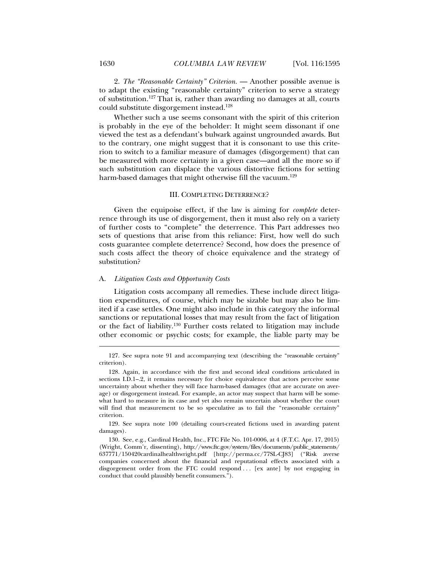2. *The "Reasonable Certainty" Criterion.* — Another possible avenue is to adapt the existing "reasonable certainty" criterion to serve a strategy of substitution.127 That is, rather than awarding no damages at all, courts could substitute disgorgement instead.128

Whether such a use seems consonant with the spirit of this criterion is probably in the eye of the beholder: It might seem dissonant if one viewed the test as a defendant's bulwark against ungrounded awards. But to the contrary, one might suggest that it is consonant to use this criterion to switch to a familiar measure of damages (disgorgement) that can be measured with more certainty in a given case—and all the more so if such substitution can displace the various distortive fictions for setting harm-based damages that might otherwise fill the vacuum.<sup>129</sup>

### III. COMPLETING DETERRENCE?

Given the equipoise effect, if the law is aiming for *complete* deterrence through its use of disgorgement, then it must also rely on a variety of further costs to "complete" the deterrence. This Part addresses two sets of questions that arise from this reliance: First, how well do such costs guarantee complete deterrence? Second, how does the presence of such costs affect the theory of choice equivalence and the strategy of substitution?

# A. *Litigation Costs and Opportunity Costs*

Litigation costs accompany all remedies. These include direct litigation expenditures, of course, which may be sizable but may also be limited if a case settles. One might also include in this category the informal sanctions or reputational losses that may result from the fact of litigation or the fact of liability.130 Further costs related to litigation may include other economic or psychic costs; for example, the liable party may be

 <sup>127.</sup> See supra note 91 and accompanying text (describing the "reasonable certainty" criterion).

 <sup>128.</sup> Again, in accordance with the first and second ideal conditions articulated in sections I.D.1–.2, it remains necessary for choice equivalence that actors perceive some uncertainty about whether they will face harm-based damages (that are accurate on average) or disgorgement instead. For example, an actor may suspect that harm will be somewhat hard to measure in its case and yet also remain uncertain about whether the court will find that measurement to be so speculative as to fail the "reasonable certainty" criterion.

 <sup>129.</sup> See supra note 100 (detailing court-created fictions used in awarding patent damages).

 <sup>130.</sup> See, e.g., Cardinal Health, Inc., FTC File No. 101-0006, at 4 (F.T.C. Apr. 17, 2015) (Wright, Comm'r, dissenting), http://www.ftc.gov/system/files/documents/public\_statements/ 637771/150420cardinalhealthwright.pdf [http://perma.cc/77SL-CJ83] ("Risk averse companies concerned about the financial and reputational effects associated with a disgorgement order from the FTC could respond . . . [ex ante] by not engaging in conduct that could plausibly benefit consumers.").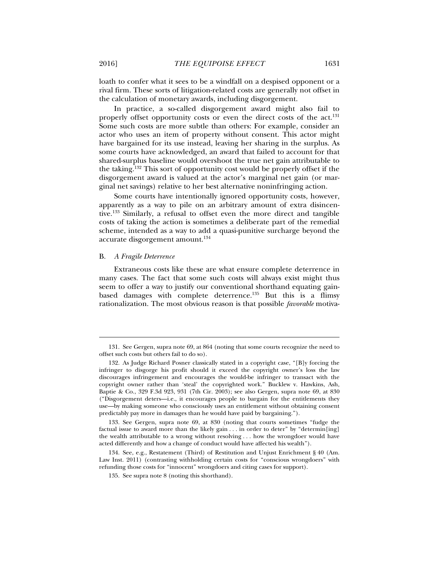loath to confer what it sees to be a windfall on a despised opponent or a rival firm. These sorts of litigation-related costs are generally not offset in the calculation of monetary awards, including disgorgement.

In practice, a so-called disgorgement award might also fail to properly offset opportunity costs or even the direct costs of the act.<sup>131</sup> Some such costs are more subtle than others: For example, consider an actor who uses an item of property without consent. This actor might have bargained for its use instead, leaving her sharing in the surplus. As some courts have acknowledged, an award that failed to account for that shared-surplus baseline would overshoot the true net gain attributable to the taking.132 This sort of opportunity cost would be properly offset if the disgorgement award is valued at the actor's marginal net gain (or marginal net savings) relative to her best alternative noninfringing action.

Some courts have intentionally ignored opportunity costs, however, apparently as a way to pile on an arbitrary amount of extra disincentive.133 Similarly, a refusal to offset even the more direct and tangible costs of taking the action is sometimes a deliberate part of the remedial scheme, intended as a way to add a quasi-punitive surcharge beyond the accurate disgorgement amount.134

# B. *A Fragile Deterrence*

l

Extraneous costs like these are what ensure complete deterrence in many cases. The fact that some such costs will always exist might thus seem to offer a way to justify our conventional shorthand equating gainbased damages with complete deterrence.135 But this is a flimsy rationalization. The most obvious reason is that possible *favorable* motiva-

 <sup>131.</sup> See Gergen, supra note 69, at 864 (noting that some courts recognize the need to offset such costs but others fail to do so).

 <sup>132.</sup> As Judge Richard Posner classically stated in a copyright case, "[B]y forcing the infringer to disgorge his profit should it exceed the copyright owner's loss the law discourages infringement and encourages the would-be infringer to transact with the copyright owner rather than 'steal' the copyrighted work." Bucklew v. Hawkins, Ash, Baptie & Co., 329 F.3d 923, 931 (7th Cir. 2003); see also Gergen, supra note 69, at 830 ("Disgorgement deters—i.e., it encourages people to bargain for the entitlements they use—by making someone who consciously uses an entitlement without obtaining consent predictably pay more in damages than he would have paid by bargaining.").

 <sup>133.</sup> See Gergen, supra note 69, at 830 (noting that courts sometimes "fudge the factual issue to award more than the likely gain . . . in order to deter" by "determin[ing] the wealth attributable to a wrong without resolving . . . how the wrongdoer would have acted differently and how a change of conduct would have affected his wealth").

 <sup>134.</sup> See, e.g., Restatement (Third) of Restitution and Unjust Enrichment § 40 (Am. Law Inst. 2011) (contrasting withholding certain costs for "conscious wrongdoers" with refunding those costs for "innocent" wrongdoers and citing cases for support).

 <sup>135.</sup> See supra note 8 (noting this shorthand).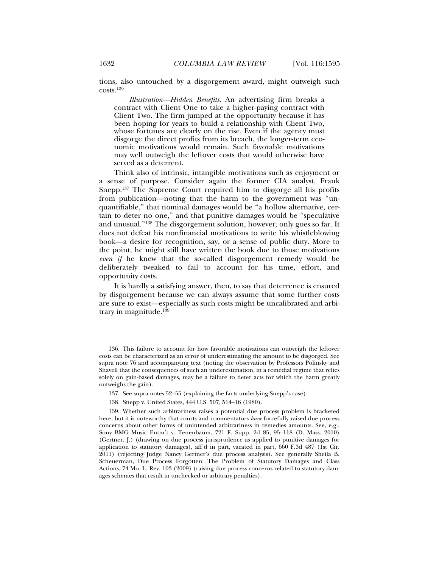tions, also untouched by a disgorgement award, might outweigh such costs.136

*Illustration—Hidden Benefits*. An advertising firm breaks a contract with Client One to take a higher-paying contract with Client Two. The firm jumped at the opportunity because it has been hoping for years to build a relationship with Client Two, whose fortunes are clearly on the rise. Even if the agency must disgorge the direct profits from its breach, the longer-term economic motivations would remain. Such favorable motivations may well outweigh the leftover costs that would otherwise have served as a deterrent.

Think also of intrinsic, intangible motivations such as enjoyment or a sense of purpose. Consider again the former CIA analyst, Frank Snepp.137 The Supreme Court required him to disgorge all his profits from publication—noting that the harm to the government was "unquantifiable," that nominal damages would be "a hollow alternative, certain to deter no one," and that punitive damages would be "speculative and unusual."138 The disgorgement solution, however, only goes so far. It does not defeat his nonfinancial motivations to write his whistleblowing book—a desire for recognition, say, or a sense of public duty. More to the point, he might still have written the book due to those motivations *even if* he knew that the so-called disgorgement remedy would be deliberately tweaked to fail to account for his time, effort, and opportunity costs.

It is hardly a satisfying answer, then, to say that deterrence is ensured by disgorgement because we can always assume that some further costs are sure to exist—especially as such costs might be uncalibrated and arbitrary in magnitude.139

 <sup>136.</sup> This failure to account for how favorable motivations can outweigh the leftover costs can be characterized as an error of underestimating the amount to be disgorged. See supra note 76 and accompanying text (noting the observation by Professors Polinsky and Shavell that the consequences of such an underestimation, in a remedial regime that relies solely on gain-based damages, may be a failure to deter acts for which the harm greatly outweighs the gain).

 <sup>137.</sup> See supra notes 52–55 (explaining the facts underlying Snepp's case).

 <sup>138.</sup> Snepp v. United States, 444 U.S. 507, 514–16 (1980).

 <sup>139.</sup> Whether such arbitrariness raises a potential due process problem is bracketed here, but it is noteworthy that courts and commentators *have* forcefully raised due process concerns about other forms of unintended arbitrariness in remedies amounts. See, e.g., Sony BMG Music Entm't v. Tenenbaum, 721 F. Supp. 2d 85, 95–118 (D. Mass. 2010) (Gertner, J.) (drawing on due process jurisprudence as applied to punitive damages for application to statutory damages), aff'd in part, vacated in part, 660 F.3d 487 (1st Cir. 2011) (rejecting Judge Nancy Gertner's due process analysis). See generally Sheila B. Scheuerman, Due Process Forgotten: The Problem of Statutory Damages and Class Actions, 74 Mo. L. Rev. 103 (2009) (raising due process concerns related to statutory damages schemes that result in unchecked or arbitrary penalties).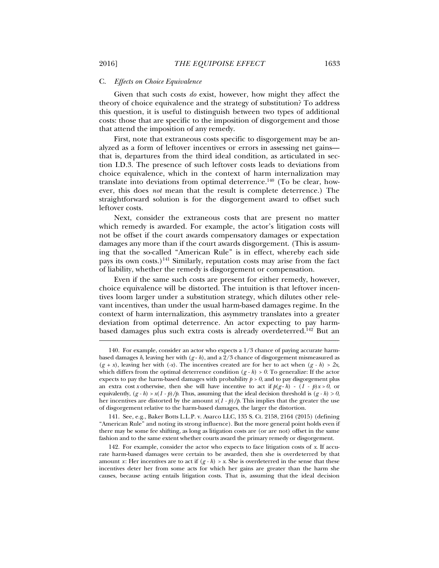#### C. *Effects on Choice Equivalence*

Given that such costs *do* exist, however, how might they affect the theory of choice equivalence and the strategy of substitution? To address this question, it is useful to distinguish between two types of additional costs: those that are specific to the imposition of disgorgement and those that attend the imposition of any remedy.

First, note that extraneous costs specific to disgorgement may be analyzed as a form of leftover incentives or errors in assessing net gains that is, departures from the third ideal condition, as articulated in section I.D.3. The presence of such leftover costs leads to deviations from choice equivalence, which in the context of harm internalization may translate into deviations from optimal deterrence.<sup>140</sup> (To be clear, however, this does *not* mean that the result is complete deterrence.) The straightforward solution is for the disgorgement award to offset such leftover costs.

Next, consider the extraneous costs that are present no matter which remedy is awarded. For example, the actor's litigation costs will not be offset if the court awards compensatory damages or expectation damages any more than if the court awards disgorgement. (This is assuming that the so-called "American Rule" is in effect, whereby each side pays its own costs.)<sup>141</sup> Similarly, reputation costs may arise from the fact of liability, whether the remedy is disgorgement or compensation.

Even if the same such costs are present for either remedy, however, choice equivalence will be distorted. The intuition is that leftover incentives loom larger under a substitution strategy, which dilutes other relevant incentives, than under the usual harm-based damages regime. In the context of harm internalization, this asymmetry translates into a greater deviation from optimal deterrence. An actor expecting to pay harmbased damages plus such extra costs is already overdeterred.142 But an

 141. See, e.g., Baker Botts L.L.P. v. Asarco LLC, 135 S. Ct. 2158, 2164 (2015) (defining "American Rule" and noting its strong influence). But the more general point holds even if there may be some fee shifting, as long as litigation costs are (or are not) offset in the same fashion and to the same extent whether courts award the primary remedy or disgorgement.

 <sup>140.</sup> For example, consider an actor who expects a 1/3 chance of paying accurate harmbased damages  $h$ , leaving her with  $(g - h)$ , and a  $2/3$  chance of disgorgement mismeasured as  $(g + x)$ , leaving her with  $(-x)$ . The incentives created are for her to act when  $(g - h) > 2x$ , which differs from the optimal deterrence condition  $(g - h) > 0$ . To generalize: If the actor expects to pay the harm-based damages with probability  $p > 0$ , and to pay disgorgement plus an extra cost *x* otherwise, then she will have incentive to act if  $p(g-h) - (1 - p)x > 0$ , or equivalently,  $(g - h) > x(1 - p)/p$ . Thus, assuming that the ideal decision threshold is  $(g - h) > 0$ , her incentives are distorted by the amount  $x(1 - p)/p$ . This implies that the greater the use of disgorgement relative to the harm-based damages, the larger the distortion.

 <sup>142.</sup> For example, consider the actor who expects to face litigation costs of *x*. If accurate harm-based damages were certain to be awarded, then she is overdeterred by that amount *x*: Her incentives are to act if  $(g - h) > x$ . She is overdeterred in the sense that these incentives deter her from some acts for which her gains are greater than the harm she causes, because acting entails litigation costs. That is, assuming that the ideal decision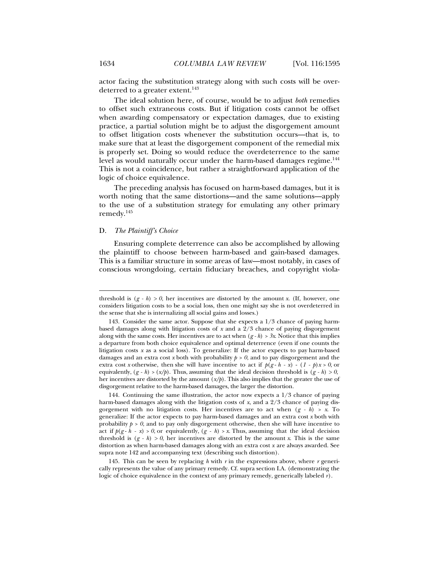actor facing the substitution strategy along with such costs will be overdeterred to a greater extent.<sup>143</sup>

The ideal solution here, of course, would be to adjust *both* remedies to offset such extraneous costs. But if litigation costs cannot be offset when awarding compensatory or expectation damages, due to existing practice, a partial solution might be to adjust the disgorgement amount to offset litigation costs whenever the substitution occurs—that is, to make sure that at least the disgorgement component of the remedial mix is properly set. Doing so would reduce the overdeterrence to the same level as would naturally occur under the harm-based damages regime.<sup>144</sup> This is not a coincidence, but rather a straightforward application of the logic of choice equivalence.

The preceding analysis has focused on harm-based damages, but it is worth noting that the same distortions—and the same solutions—apply to the use of a substitution strategy for emulating any other primary remedy.145

# D. *The Plaintiff's Choice*

l

Ensuring complete deterrence can also be accomplished by allowing the plaintiff to choose between harm-based and gain-based damages. This is a familiar structure in some areas of law—most notably, in cases of conscious wrongdoing, certain fiduciary breaches, and copyright viola-

 145. This can be seen by replacing *h* with *r* in the expressions above, where *r* generically represents the value of any primary remedy. Cf. supra section I.A. (demonstrating the logic of choice equivalence in the context of any primary remedy, generically labeled *r*).

threshold is  $(g - h) > 0$ , her incentives are distorted by the amount *x*. (If, however, one considers litigation costs to be a social loss, then one might say she is not overdeterred in the sense that she is internalizing all social gains and losses.)

 <sup>143.</sup> Consider the same actor. Suppose that she expects a 1/3 chance of paying harmbased damages along with litigation costs of *x* and a 2/3 chance of paying disgorgement along with the same costs. Her incentives are to act when  $(g - h) > 3x$ . Notice that this implies a departure from both choice equivalence and optimal deterrence (even if one counts the litigation costs *x* as a social loss). To generalize: If the actor expects to pay harm-based damages and an extra cost *x* both with probability  $p > 0$ , and to pay disgorgement and the extra cost *x* otherwise, then she will have incentive to act if  $p(g - h - x) - (1 - p)x > 0$ , or equivalently,  $(g - h)$  >  $(x/p)$ . Thus, assuming that the ideal decision threshold is  $(g - h)$  > 0, her incentives are distorted by the amount (*x/p*). This also implies that the greater the use of disgorgement relative to the harm-based damages, the larger the distortion.

<sup>144.</sup> Continuing the same illustration, the actor now expects a  $1/3$  chance of paying harm-based damages along with the litigation costs of *x*, and a 2/3 chance of paying disgorgement with no litigation costs. Her incentives are to act when (*g - h*) *> x*. To generalize: If the actor expects to pay harm-based damages and an extra cost *x* both with probability  $p > 0$ , and to pay only disgorgement otherwise, then she will have incentive to act if  $p(g-h-x) > 0$ , or equivalently,  $(g-h) > x$ . Thus, assuming that the ideal decision threshold is  $(g - h) > 0$ , her incentives are distorted by the amount *x*. This is the same distortion as when harm-based damages along with an extra cost *x* are always awarded. See supra note 142 and accompanying text (describing such distortion).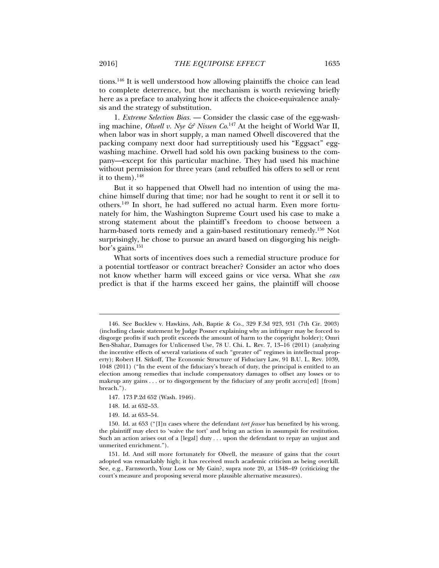tions.146 It is well understood how allowing plaintiffs the choice can lead to complete deterrence, but the mechanism is worth reviewing briefly here as a preface to analyzing how it affects the choice-equivalence analysis and the strategy of substitution.

1. *Extreme Selection Bias.* — Consider the classic case of the egg-washing machine, *Olwell v. Nye & Nissen Co*. 147 At the height of World War II, when labor was in short supply, a man named Olwell discovered that the packing company next door had surreptitiously used his "Eggsact" eggwashing machine. Orwell had sold his own packing business to the company—except for this particular machine. They had used his machine without permission for three years (and rebuffed his offers to sell or rent it to them). $148$ 

But it so happened that Olwell had no intention of using the machine himself during that time; nor had he sought to rent it or sell it to others.149 In short, he had suffered no actual harm. Even more fortunately for him, the Washington Supreme Court used his case to make a strong statement about the plaintiff's freedom to choose between a harm-based torts remedy and a gain-based restitutionary remedy.150 Not surprisingly, he chose to pursue an award based on disgorging his neighbor's gains.151

What sorts of incentives does such a remedial structure produce for a potential tortfeasor or contract breacher? Consider an actor who does not know whether harm will exceed gains or vice versa. What she *can* predict is that if the harms exceed her gains, the plaintiff will choose

 <sup>146.</sup> See Bucklew v. Hawkins, Ash, Baptie & Co., 329 F.3d 923, 931 (7th Cir. 2003) (including classic statement by Judge Posner explaining why an infringer may be forced to disgorge profits if such profit exceeds the amount of harm to the copyright holder); Omri Ben-Shahar, Damages for Unlicensed Use, 78 U. Chi. L. Rev. 7, 13–16 (2011) (analyzing the incentive effects of several variations of such "greater of" regimes in intellectual property); Robert H. Sitkoff, The Economic Structure of Fiduciary Law, 91 B.U. L. Rev. 1039, 1048 (2011) ("In the event of the fiduciary's breach of duty, the principal is entitled to an election among remedies that include compensatory damages to offset any losses or to makeup any gains . . . or to disgorgement by the fiduciary of any profit accru[ed] [from] breach.").

 <sup>147. 173</sup> P.2d 652 (Wash. 1946).

 <sup>148.</sup> Id. at 652–53.

 <sup>149.</sup> Id. at 653–54.

 <sup>150.</sup> Id. at 653 ("[I]n cases where the defendant *tort feasor* has benefited by his wrong, the plaintiff may elect to 'waive the tort' and bring an action in assumpsit for restitution. Such an action arises out of a [legal] duty . . . upon the defendant to repay an unjust and unmerited enrichment.").

 <sup>151.</sup> Id. And still more fortunately for Olwell, the measure of gains that the court adopted was remarkably high; it has received much academic criticism as being overkill. See, e.g., Farnsworth, Your Loss or My Gain?, supra note 20, at 1348–49 (criticizing the court's measure and proposing several more plausible alternative measures).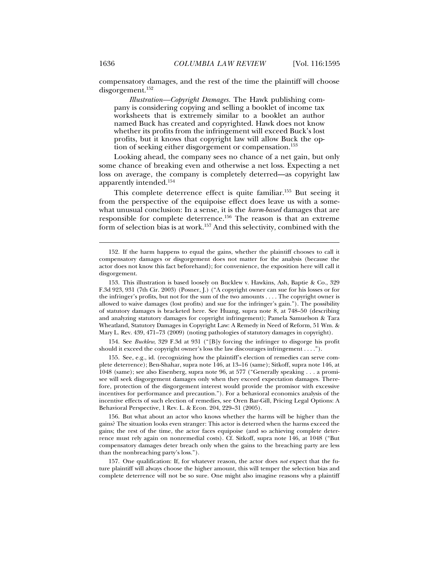compensatory damages, and the rest of the time the plaintiff will choose disgorgement.152

*Illustration—Copyright Damages.* The Hawk publishing company is considering copying and selling a booklet of income tax worksheets that is extremely similar to a booklet an author named Buck has created and copyrighted. Hawk does not know whether its profits from the infringement will exceed Buck's lost profits, but it knows that copyright law will allow Buck the option of seeking either disgorgement or compensation.<sup>153</sup>

Looking ahead, the company sees no chance of a net gain, but only some chance of breaking even and otherwise a net loss. Expecting a net loss on average, the company is completely deterred—as copyright law apparently intended.154

This complete deterrence effect is quite familiar.<sup>155</sup> But seeing it from the perspective of the equipoise effect does leave us with a somewhat unusual conclusion: In a sense, it is the *harm-based* damages that are responsible for complete deterrence.156 The reason is that an extreme form of selection bias is at work.<sup>157</sup> And this selectivity, combined with the

 154. See *Bucklew*, 329 F.3d at 931 ("[B]y forcing the infringer to disgorge his profit should it exceed the copyright owner's loss the law discourages infringement . . . .").

 155. See, e.g., id. (recognizing how the plaintiff's election of remedies can serve complete deterrence); Ben-Shahar, supra note 146, at 13–16 (same); Sitkoff, supra note 146, at 1048 (same); see also Eisenberg, supra note 96, at 577 ("Generally speaking . . . a promisee will seek disgorgement damages only when they exceed expectation damages. Therefore, protection of the disgorgement interest would provide the promisor with excessive incentives for performance and precaution."). For a behavioral economics analysis of the incentive effects of such election of remedies, see Oren Bar-Gill, Pricing Legal Options: A Behavioral Perspective, 1 Rev. L. & Econ. 204, 229–31 (2005).

 156. But what about an actor who knows whether the harms will be higher than the gains? The situation looks even stranger: This actor is deterred when the harms exceed the gains; the rest of the time, the actor faces equipoise (and so achieving complete deterrence must rely again on nonremedial costs). Cf. Sitkoff, supra note 146, at 1048 ("But compensatory damages deter breach only when the gains to the breaching party are less than the nonbreaching party's loss.").

 157. One qualification: If, for whatever reason, the actor does *not* expect that the future plaintiff will always choose the higher amount, this will temper the selection bias and complete deterrence will not be so sure. One might also imagine reasons why a plaintiff

 <sup>152.</sup> If the harm happens to equal the gains, whether the plaintiff chooses to call it compensatory damages or disgorgement does not matter for the analysis (because the actor does not know this fact beforehand); for convenience, the exposition here will call it disgorgement.

 <sup>153.</sup> This illustration is based loosely on Bucklew v. Hawkins, Ash, Baptie & Co., 329 F.3d 923, 931 (7th Cir. 2003) (Posner, J.) ("A copyright owner can sue for his losses or for the infringer's profits, but not for the sum of the two amounts . . . . The copyright owner is allowed to waive damages (lost profits) and sue for the infringer's gain."). The possibility of statutory damages is bracketed here. See Huang, supra note 8, at 748–50 (describing and analyzing statutory damages for copyright infringement); Pamela Samuelson & Tara Wheatland, Statutory Damages in Copyright Law: A Remedy in Need of Reform, 51 Wm. & Mary L. Rev. 439, 471–73 (2009) (noting pathologies of statutory damages in copyright).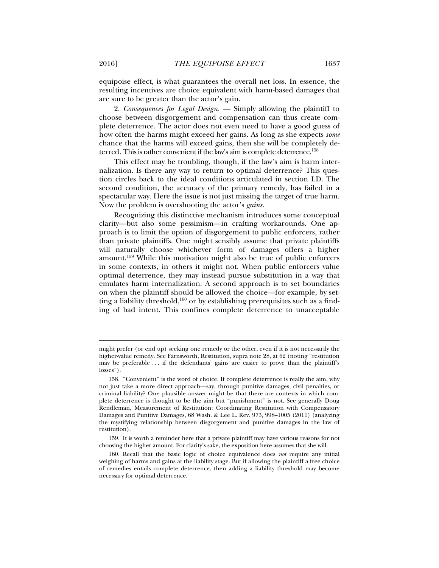equipoise effect, is what guarantees the overall net loss. In essence, the resulting incentives are choice equivalent with harm-based damages that are sure to be greater than the actor's gain.

2. *Consequences for Legal Design.* — Simply allowing the plaintiff to choose between disgorgement and compensation can thus create complete deterrence. The actor does not even need to have a good guess of how often the harms might exceed her gains. As long as she expects *some* chance that the harms will exceed gains, then she will be completely deterred. This is rather convenient if the law's aim is complete deterrence.<sup>158</sup>

This effect may be troubling, though, if the law's aim is harm internalization. Is there any way to return to optimal deterrence? This question circles back to the ideal conditions articulated in section I.D. The second condition, the accuracy of the primary remedy, has failed in a spectacular way. Here the issue is not just missing the target of true harm. Now the problem is overshooting the actor's *gains*.

Recognizing this distinctive mechanism introduces some conceptual clarity—but also some pessimism—in crafting workarounds. One approach is to limit the option of disgorgement to public enforcers, rather than private plaintiffs. One might sensibly assume that private plaintiffs will naturally choose whichever form of damages offers a higher amount.159 While this motivation might also be true of public enforcers in some contexts, in others it might not. When public enforcers value optimal deterrence, they may instead pursue substitution in a way that emulates harm internalization. A second approach is to set boundaries on when the plaintiff should be allowed the choice—for example, by setting a liability threshold,<sup>160</sup> or by establishing prerequisites such as a finding of bad intent. This confines complete deterrence to unacceptable

might prefer (or end up) seeking one remedy or the other, even if it is not necessarily the higher-value remedy. See Farnsworth, Restitution, supra note 28, at 62 (noting "restitution may be preferable . . . if the defendants' gains are easier to prove than the plaintiff's losses").

 <sup>158. &</sup>quot;Convenient" is the word of choice. If complete deterrence is really the aim, why not just take a more direct approach—say, through punitive damages, civil penalties, or criminal liability? One plausible answer might be that there are contexts in which complete deterrence is thought to be the aim but "punishment" is not. See generally Doug Rendleman, Measurement of Restitution: Coordinating Restitution with Compensatory Damages and Punitive Damages, 68 Wash. & Lee L. Rev. 973, 998–1005 (2011) (analyzing the mystifying relationship between disgorgement and punitive damages in the law of restitution).

 <sup>159.</sup> It is worth a reminder here that a private plaintiff may have various reasons for not choosing the higher amount. For clarity's sake, the exposition here assumes that she will.

 <sup>160.</sup> Recall that the basic logic of choice equivalence does *not* require any initial weighing of harms and gains at the liability stage. But if allowing the plaintiff a free choice of remedies entails complete deterrence, then adding a liability threshold may become necessary for optimal deterrence.